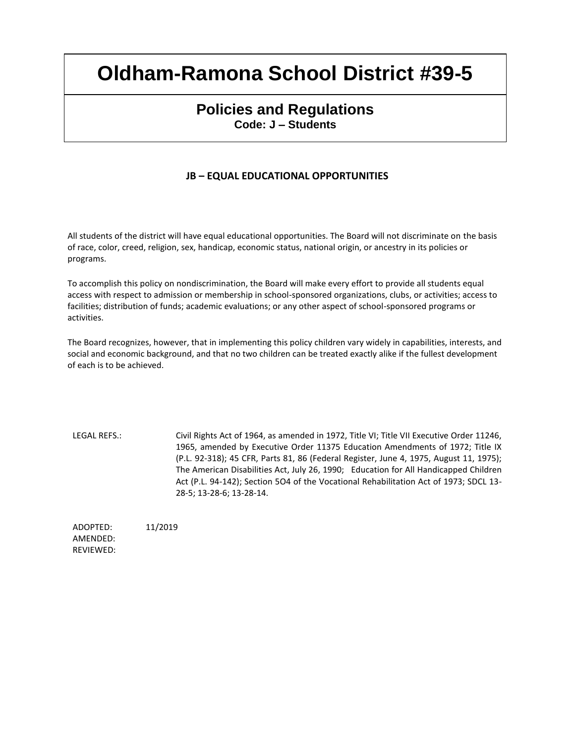## **Policies and Regulations Code: J – Students**

### **JB – EQUAL EDUCATIONAL OPPORTUNITIES**

All students of the district will have equal educational opportunities. The Board will not discriminate on the basis of race, color, creed, religion, sex, handicap, economic status, national origin, or ancestry in its policies or programs.

To accomplish this policy on nondiscrimination, the Board will make every effort to provide all students equal access with respect to admission or membership in school-sponsored organizations, clubs, or activities; access to facilities; distribution of funds; academic evaluations; or any other aspect of school-sponsored programs or activities.

The Board recognizes, however, that in implementing this policy children vary widely in capabilities, interests, and social and economic background, and that no two children can be treated exactly alike if the fullest development of each is to be achieved.

LEGAL REFS.: Civil Rights Act of 1964, as amended in 1972, Title VI; Title VII Executive Order 11246, 1965, amended by Executive Order 11375 Education Amendments of 1972; Title IX (P.L. 92-318); 45 CFR, Parts 81, 86 (Federal Register, June 4, 1975, August 11, 1975); The American Disabilities Act, July 26, 1990; Education for All Handicapped Children Act (P.L. 94-142); Section 5O4 of the Vocational Rehabilitation Act of 1973; SDCL 13- 28-5; 13-28-6; 13-28-14.

ADOPTED: 11/2019 AMENDED: REVIEWED: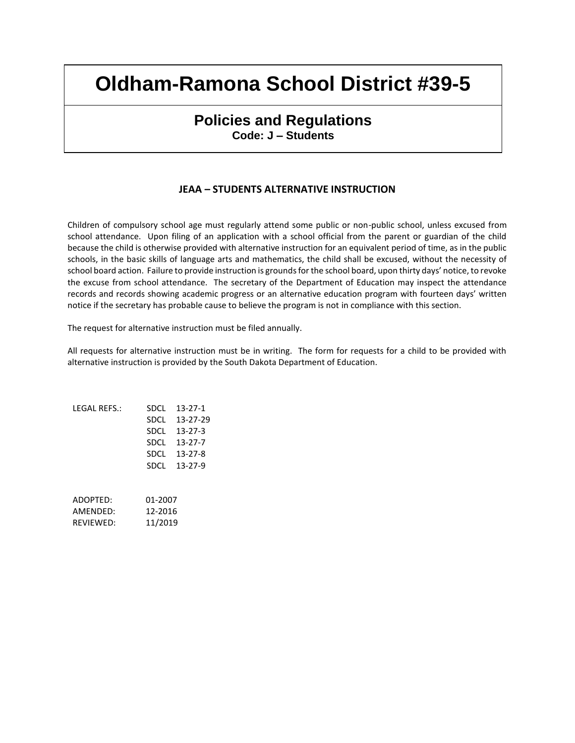### **Policies and Regulations Code: J – Students**

#### **JEAA – STUDENTS ALTERNATIVE INSTRUCTION**

Children of compulsory school age must regularly attend some public or non-public school, unless excused from school attendance. Upon filing of an application with a school official from the parent or guardian of the child because the child is otherwise provided with alternative instruction for an equivalent period of time, as in the public schools, in the basic skills of language arts and mathematics, the child shall be excused, without the necessity of school board action. Failure to provide instruction is grounds for the school board, upon thirty days' notice, to revoke the excuse from school attendance. The secretary of the Department of Education may inspect the attendance records and records showing academic progress or an alternative education program with fourteen days' written notice if the secretary has probable cause to believe the program is not in compliance with this section.

The request for alternative instruction must be filed annually.

All requests for alternative instruction must be in writing. The form for requests for a child to be provided with alternative instruction is provided by the South Dakota Department of Education.

| LEGAL REFS.: | SDCL    | $13 - 27 - 1$ |
|--------------|---------|---------------|
|              | SDCL    | 13-27-29      |
|              | SDCL    | $13 - 27 - 3$ |
|              | SDCL    | $13 - 27 - 7$ |
|              | SDCL    | $13 - 27 - 8$ |
|              | SDCL    | $13 - 27 - 9$ |
|              |         |               |
|              |         |               |
| ADOPTED:     | 01-2007 |               |
| AMFNDFD:     | 12-2016 |               |
| REVIEWED:    | 11/2019 |               |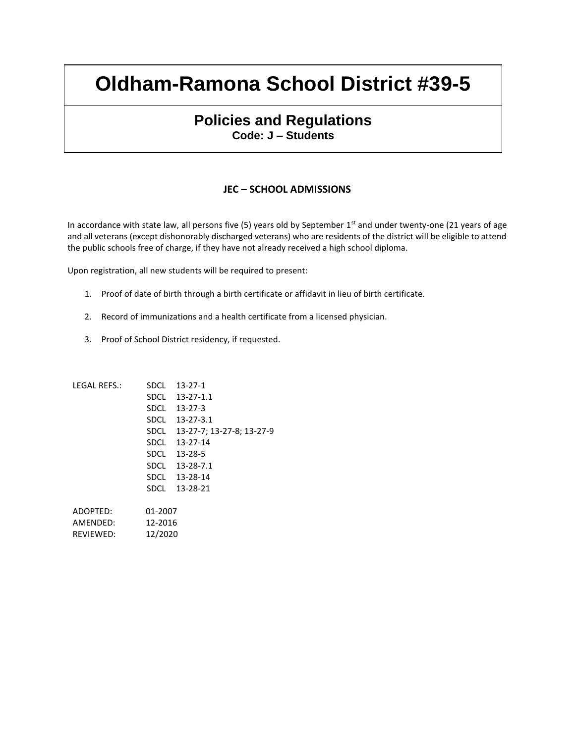### **Policies and Regulations Code: J – Students**

#### **JEC – SCHOOL ADMISSIONS**

In accordance with state law, all persons five  $(5)$  years old by September 1st and under twenty-one  $(21 \text{ years of age})$ and all veterans (except dishonorably discharged veterans) who are residents of the district will be eligible to attend the public schools free of charge, if they have not already received a high school diploma.

Upon registration, all new students will be required to present:

- 1. Proof of date of birth through a birth certificate or affidavit in lieu of birth certificate.
- 2. Record of immunizations and a health certificate from a licensed physician.
- 3. Proof of School District residency, if requested.

| LEGAL REFS.: | <b>SDCL</b> | $13 - 27 - 1$             |
|--------------|-------------|---------------------------|
|              | SDCL        | $13 - 27 - 1.1$           |
|              | SDCL        | 13-27-3                   |
|              | SDCL        | $13 - 27 - 3.1$           |
|              | SDCL        | 13-27-7; 13-27-8; 13-27-9 |
|              | SDCL        | 13-27-14                  |
|              | SDCL        | 13-28-5                   |
|              | SDCL        | $13 - 28 - 7.1$           |
|              | SDCL        | 13-28-14                  |
|              | SDCL        | 13-28-21                  |
|              |             |                           |
| ADOPTED:     | 01-2007     |                           |
| AMENDED:     | 12-2016     |                           |
| REVIEWED:    | 12/2020     |                           |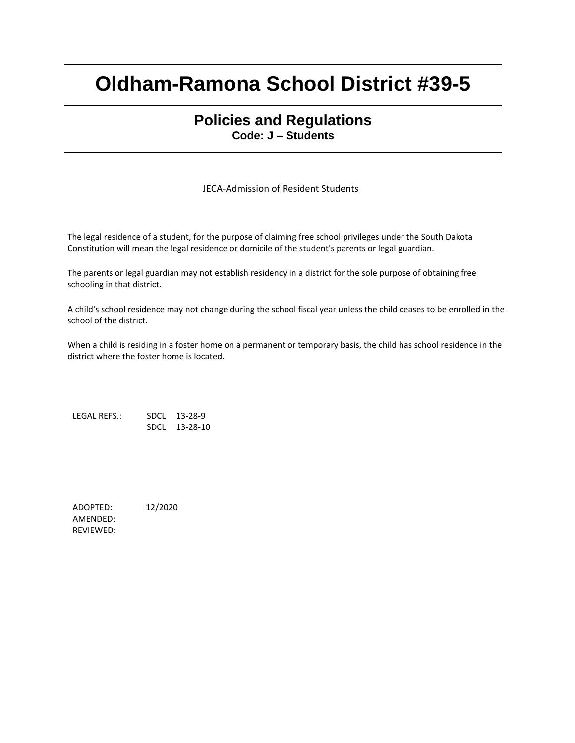### **Policies and Regulations Code: J – Students**

JECA-Admission of Resident Students

The legal residence of a student, for the purpose of claiming free school privileges under the South Dakota Constitution will mean the legal residence or domicile of the student's parents or legal guardian.

The parents or legal guardian may not establish residency in a district for the sole purpose of obtaining free schooling in that district.

A child's school residence may not change during the school fiscal year unless the child ceases to be enrolled in the school of the district.

When a child is residing in a foster home on a permanent or temporary basis, the child has school residence in the district where the foster home is located.

LEGAL REFS.: SDCL 13-28-9 SDCL 13-28-10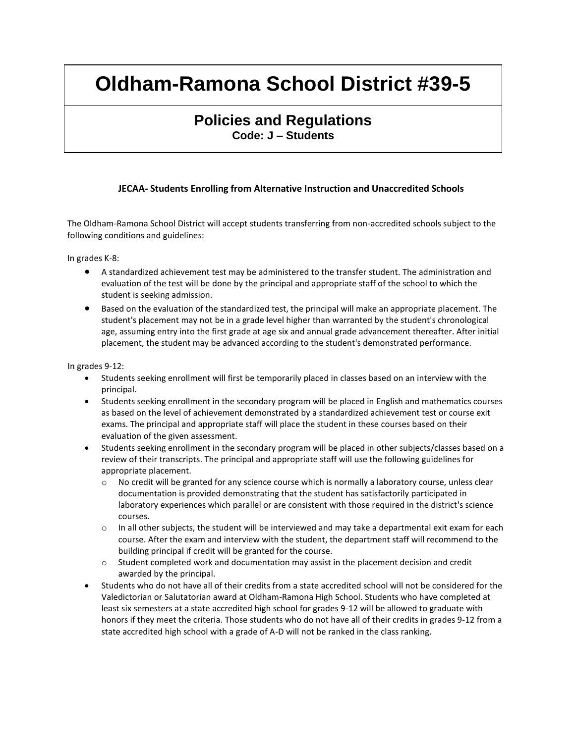### **Policies and Regulations Code: J – Students**

#### **JECAA- Students Enrolling from Alternative Instruction and Unaccredited Schools**

The Oldham-Ramona School District will accept students transferring from non-accredited schools subject to the following conditions and guidelines:

In grades K-8:

- A standardized achievement test may be administered to the transfer student. The administration and evaluation of the test will be done by the principal and appropriate staff of the school to which the student is seeking admission.
- Based on the evaluation of the standardized test, the principal will make an appropriate placement. The student's placement may not be in a grade level higher than warranted by the student's chronological age, assuming entry into the first grade at age six and annual grade advancement thereafter. After initial placement, the student may be advanced according to the student's demonstrated performance.

In grades 9-12:

- Students seeking enrollment will first be temporarily placed in classes based on an interview with the principal.
- Students seeking enrollment in the secondary program will be placed in English and mathematics courses as based on the level of achievement demonstrated by a standardized achievement test or course exit exams. The principal and appropriate staff will place the student in these courses based on their evaluation of the given assessment.
- Students seeking enrollment in the secondary program will be placed in other subjects/classes based on a review of their transcripts. The principal and appropriate staff will use the following guidelines for appropriate placement.
	- $\circ$  No credit will be granted for any science course which is normally a laboratory course, unless clear documentation is provided demonstrating that the student has satisfactorily participated in laboratory experiences which parallel or are consistent with those required in the district's science courses.
	- $\circ$  In all other subjects, the student will be interviewed and may take a departmental exit exam for each course. After the exam and interview with the student, the department staff will recommend to the building principal if credit will be granted for the course.
	- $\circ$  Student completed work and documentation may assist in the placement decision and credit awarded by the principal.
- Students who do not have all of their credits from a state accredited school will not be considered for the Valedictorian or Salutatorian award at Oldham-Ramona High School. Students who have completed at least six semesters at a state accredited high school for grades 9-12 will be allowed to graduate with honors if they meet the criteria. Those students who do not have all of their credits in grades 9-12 from a state accredited high school with a grade of A-D will not be ranked in the class ranking.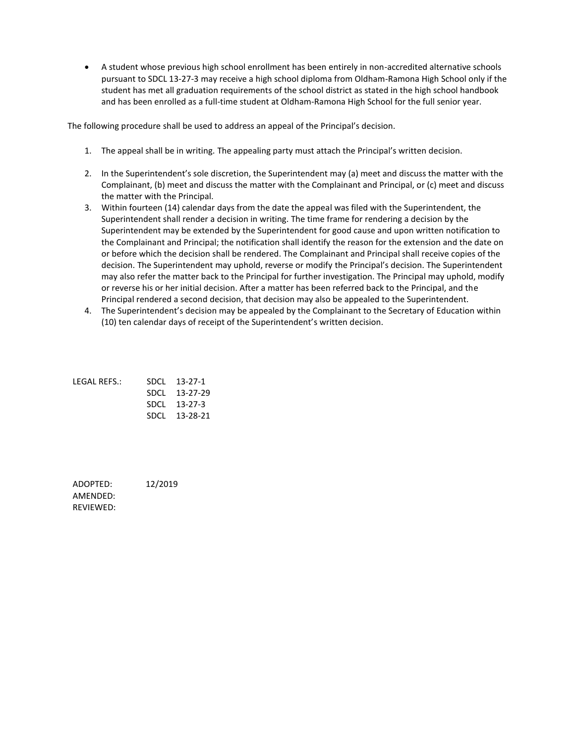A student whose previous high school enrollment has been entirely in non-accredited alternative schools pursuant to SDCL 13-27-3 may receive a high school diploma from Oldham-Ramona High School only if the student has met all graduation requirements of the school district as stated in the high school handbook and has been enrolled as a full-time student at Oldham-Ramona High School for the full senior year.

The following procedure shall be used to address an appeal of the Principal's decision.

- 1. The appeal shall be in writing. The appealing party must attach the Principal's written decision.
- 2. In the Superintendent's sole discretion, the Superintendent may (a) meet and discuss the matter with the Complainant, (b) meet and discuss the matter with the Complainant and Principal, or (c) meet and discuss the matter with the Principal.
- 3. Within fourteen (14) calendar days from the date the appeal was filed with the Superintendent, the Superintendent shall render a decision in writing. The time frame for rendering a decision by the Superintendent may be extended by the Superintendent for good cause and upon written notification to the Complainant and Principal; the notification shall identify the reason for the extension and the date on or before which the decision shall be rendered. The Complainant and Principal shall receive copies of the decision. The Superintendent may uphold, reverse or modify the Principal's decision. The Superintendent may also refer the matter back to the Principal for further investigation. The Principal may uphold, modify or reverse his or her initial decision. After a matter has been referred back to the Principal, and the Principal rendered a second decision, that decision may also be appealed to the Superintendent.
- 4. The Superintendent's decision may be appealed by the Complainant to the Secretary of Education within (10) ten calendar days of receipt of the Superintendent's written decision.

| LEGAL REFS.: | SDCI 13-27-1  |
|--------------|---------------|
|              | SDCL 13-27-29 |
|              | SDCL 13-27-3  |
|              | SDCL 13-28-21 |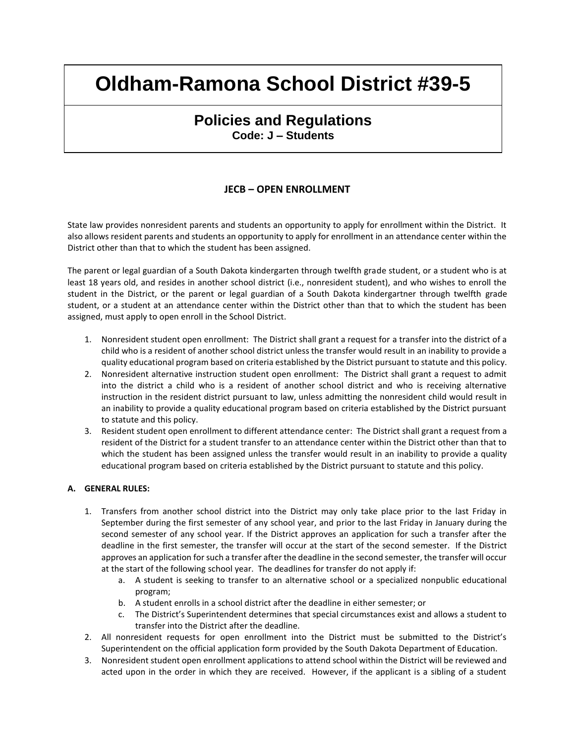### **Policies and Regulations Code: J – Students**

#### **JECB – OPEN ENROLLMENT**

State law provides nonresident parents and students an opportunity to apply for enrollment within the District. It also allows resident parents and students an opportunity to apply for enrollment in an attendance center within the District other than that to which the student has been assigned.

The parent or legal guardian of a South Dakota kindergarten through twelfth grade student, or a student who is at least 18 years old, and resides in another school district (i.e., nonresident student), and who wishes to enroll the student in the District, or the parent or legal guardian of a South Dakota kindergartner through twelfth grade student, or a student at an attendance center within the District other than that to which the student has been assigned, must apply to open enroll in the School District.

- 1. Nonresident student open enrollment: The District shall grant a request for a transfer into the district of a child who is a resident of another school district unless the transfer would result in an inability to provide a quality educational program based on criteria established by the District pursuant to statute and this policy.
- 2. Nonresident alternative instruction student open enrollment: The District shall grant a request to admit into the district a child who is a resident of another school district and who is receiving alternative instruction in the resident district pursuant to law, unless admitting the nonresident child would result in an inability to provide a quality educational program based on criteria established by the District pursuant to statute and this policy.
- 3. Resident student open enrollment to different attendance center: The District shall grant a request from a resident of the District for a student transfer to an attendance center within the District other than that to which the student has been assigned unless the transfer would result in an inability to provide a quality educational program based on criteria established by the District pursuant to statute and this policy.

#### **A. GENERAL RULES:**

- 1. Transfers from another school district into the District may only take place prior to the last Friday in September during the first semester of any school year, and prior to the last Friday in January during the second semester of any school year. If the District approves an application for such a transfer after the deadline in the first semester, the transfer will occur at the start of the second semester. If the District approves an application for such a transfer after the deadline in the second semester, the transfer will occur at the start of the following school year. The deadlines for transfer do not apply if:
	- a. A student is seeking to transfer to an alternative school or a specialized nonpublic educational program;
	- b. A student enrolls in a school district after the deadline in either semester; or
	- c. The District's Superintendent determines that special circumstances exist and allows a student to transfer into the District after the deadline.
- 2. All nonresident requests for open enrollment into the District must be submitted to the District's Superintendent on the official application form provided by the South Dakota Department of Education.
- 3. Nonresident student open enrollment applications to attend school within the District will be reviewed and acted upon in the order in which they are received. However, if the applicant is a sibling of a student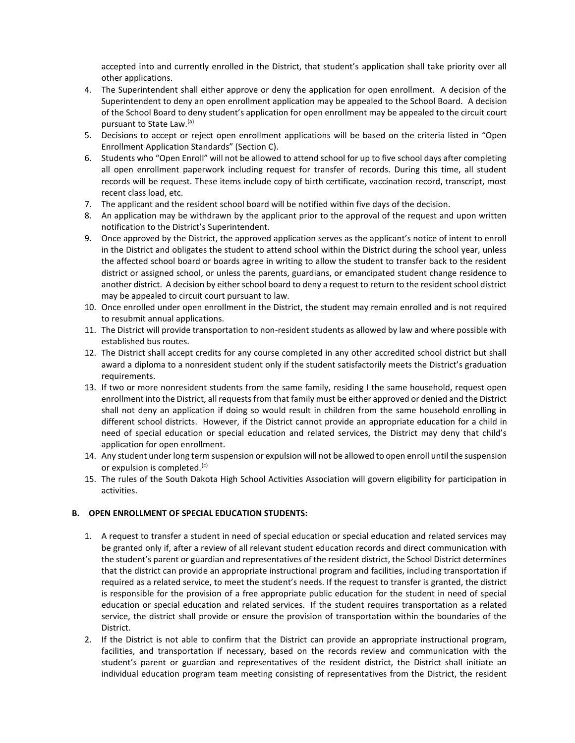accepted into and currently enrolled in the District, that student's application shall take priority over all other applications.

- 4. The Superintendent shall either approve or deny the application for open enrollment. A decision of the Superintendent to deny an open enrollment application may be appealed to the School Board. A decision of the School Board to deny student's application for open enrollment may be appealed to the circuit court pursuant to State Law.(a)
- 5. Decisions to accept or reject open enrollment applications will be based on the criteria listed in "Open Enrollment Application Standards" (Section C).
- 6. Students who "Open Enroll" will not be allowed to attend school for up to five school days after completing all open enrollment paperwork including request for transfer of records. During this time, all student records will be request. These items include copy of birth certificate, vaccination record, transcript, most recent class load, etc.
- 7. The applicant and the resident school board will be notified within five days of the decision.
- 8. An application may be withdrawn by the applicant prior to the approval of the request and upon written notification to the District's Superintendent.
- 9. Once approved by the District, the approved application serves as the applicant's notice of intent to enroll in the District and obligates the student to attend school within the District during the school year, unless the affected school board or boards agree in writing to allow the student to transfer back to the resident district or assigned school, or unless the parents, guardians, or emancipated student change residence to another district. A decision by either school board to deny a request to return to the resident school district may be appealed to circuit court pursuant to law.
- 10. Once enrolled under open enrollment in the District, the student may remain enrolled and is not required to resubmit annual applications.
- 11. The District will provide transportation to non-resident students as allowed by law and where possible with established bus routes.
- 12. The District shall accept credits for any course completed in any other accredited school district but shall award a diploma to a nonresident student only if the student satisfactorily meets the District's graduation requirements.
- 13. If two or more nonresident students from the same family, residing I the same household, request open enrollment into the District, all requests from that family must be either approved or denied and the District shall not deny an application if doing so would result in children from the same household enrolling in different school districts. However, if the District cannot provide an appropriate education for a child in need of special education or special education and related services, the District may deny that child's application for open enrollment.
- 14. Any student under long term suspension or expulsion will not be allowed to open enroll until the suspension or expulsion is completed.<sup>(c)</sup>
- 15. The rules of the South Dakota High School Activities Association will govern eligibility for participation in activities.

#### **B. OPEN ENROLLMENT OF SPECIAL EDUCATION STUDENTS:**

- 1. A request to transfer a student in need of special education or special education and related services may be granted only if, after a review of all relevant student education records and direct communication with the student's parent or guardian and representatives of the resident district, the School District determines that the district can provide an appropriate instructional program and facilities, including transportation if required as a related service, to meet the student's needs. If the request to transfer is granted, the district is responsible for the provision of a free appropriate public education for the student in need of special education or special education and related services. If the student requires transportation as a related service, the district shall provide or ensure the provision of transportation within the boundaries of the District.
- 2. If the District is not able to confirm that the District can provide an appropriate instructional program, facilities, and transportation if necessary, based on the records review and communication with the student's parent or guardian and representatives of the resident district, the District shall initiate an individual education program team meeting consisting of representatives from the District, the resident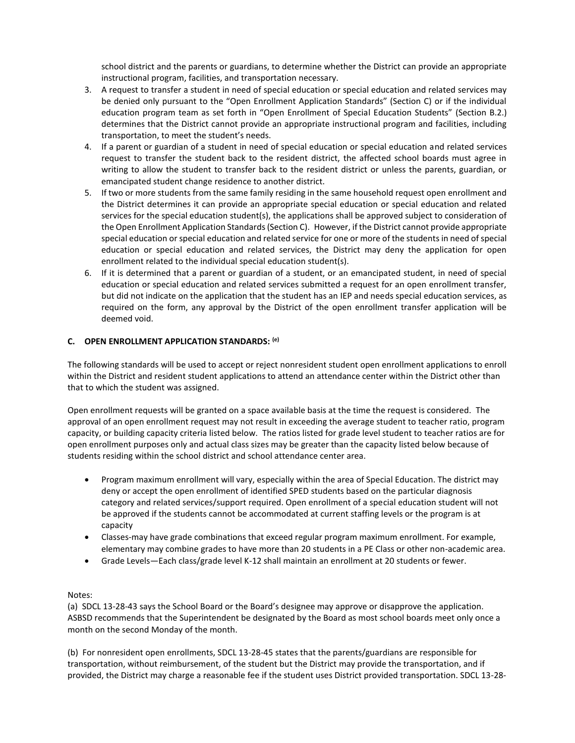school district and the parents or guardians, to determine whether the District can provide an appropriate instructional program, facilities, and transportation necessary.

- 3. A request to transfer a student in need of special education or special education and related services may be denied only pursuant to the "Open Enrollment Application Standards" (Section C) or if the individual education program team as set forth in "Open Enrollment of Special Education Students" (Section B.2.) determines that the District cannot provide an appropriate instructional program and facilities, including transportation, to meet the student's needs.
- 4. If a parent or guardian of a student in need of special education or special education and related services request to transfer the student back to the resident district, the affected school boards must agree in writing to allow the student to transfer back to the resident district or unless the parents, guardian, or emancipated student change residence to another district.
- 5. If two or more students from the same family residing in the same household request open enrollment and the District determines it can provide an appropriate special education or special education and related services for the special education student(s), the applications shall be approved subject to consideration of the Open Enrollment Application Standards (Section C). However, if the District cannot provide appropriate special education or special education and related service for one or more of the students in need of special education or special education and related services, the District may deny the application for open enrollment related to the individual special education student(s).
- 6. If it is determined that a parent or guardian of a student, or an emancipated student, in need of special education or special education and related services submitted a request for an open enrollment transfer, but did not indicate on the application that the student has an IEP and needs special education services, as required on the form, any approval by the District of the open enrollment transfer application will be deemed void.

#### **C. OPEN ENROLLMENT APPLICATION STANDARDS: (e)**

The following standards will be used to accept or reject nonresident student open enrollment applications to enroll within the District and resident student applications to attend an attendance center within the District other than that to which the student was assigned.

Open enrollment requests will be granted on a space available basis at the time the request is considered. The approval of an open enrollment request may not result in exceeding the average student to teacher ratio, program capacity, or building capacity criteria listed below. The ratios listed for grade level student to teacher ratios are for open enrollment purposes only and actual class sizes may be greater than the capacity listed below because of students residing within the school district and school attendance center area.

- Program maximum enrollment will vary, especially within the area of Special Education. The district may deny or accept the open enrollment of identified SPED students based on the particular diagnosis category and related services/support required. Open enrollment of a special education student will not be approved if the students cannot be accommodated at current staffing levels or the program is at capacity
- Classes-may have grade combinations that exceed regular program maximum enrollment. For example, elementary may combine grades to have more than 20 students in a PE Class or other non-academic area.
- Grade Levels—Each class/grade level K-12 shall maintain an enrollment at 20 students or fewer.

#### Notes:

(a) SDCL 13-28-43 says the School Board or the Board's designee may approve or disapprove the application. ASBSD recommends that the Superintendent be designated by the Board as most school boards meet only once a month on the second Monday of the month.

(b) For nonresident open enrollments, SDCL 13-28-45 states that the parents/guardians are responsible for transportation, without reimbursement, of the student but the District may provide the transportation, and if provided, the District may charge a reasonable fee if the student uses District provided transportation. SDCL 13-28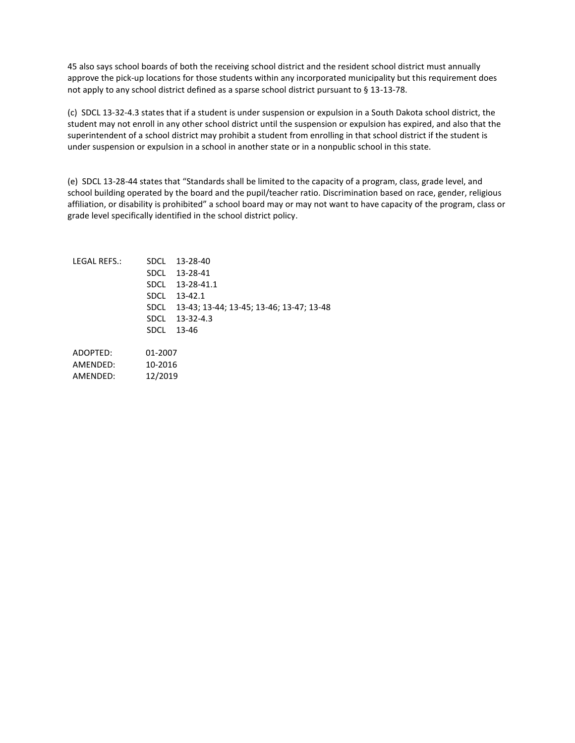45 also says school boards of both the receiving school district and the resident school district must annually approve the pick-up locations for those students within any incorporated municipality but this requirement does not apply to any school district defined as a sparse school district pursuant to § 13-13-78.

(c) SDCL 13-32-4.3 states that if a student is under suspension or expulsion in a South Dakota school district, the student may not enroll in any other school district until the suspension or expulsion has expired, and also that the superintendent of a school district may prohibit a student from enrolling in that school district if the student is under suspension or expulsion in a school in another state or in a nonpublic school in this state.

(e) SDCL 13-28-44 states that "Standards shall be limited to the capacity of a program, class, grade level, and school building operated by the board and the pupil/teacher ratio. Discrimination based on race, gender, religious affiliation, or disability is prohibited" a school board may or may not want to have capacity of the program, class or grade level specifically identified in the school district policy.

| LEGAL REFS.: |         | SDCL 13-28-40<br>SDCL 13-28-41<br>SDCL 13-28-41.1<br>SDCL 13-42.1             |
|--------------|---------|-------------------------------------------------------------------------------|
|              |         | SDCL 13-43; 13-44; 13-45; 13-46; 13-47; 13-48<br>SDCL 13-32-4.3<br>SDCL 13-46 |
| ADOPTED:     | 01-2007 |                                                                               |

AMENDED: 10-2016 AMENDED: 12/2019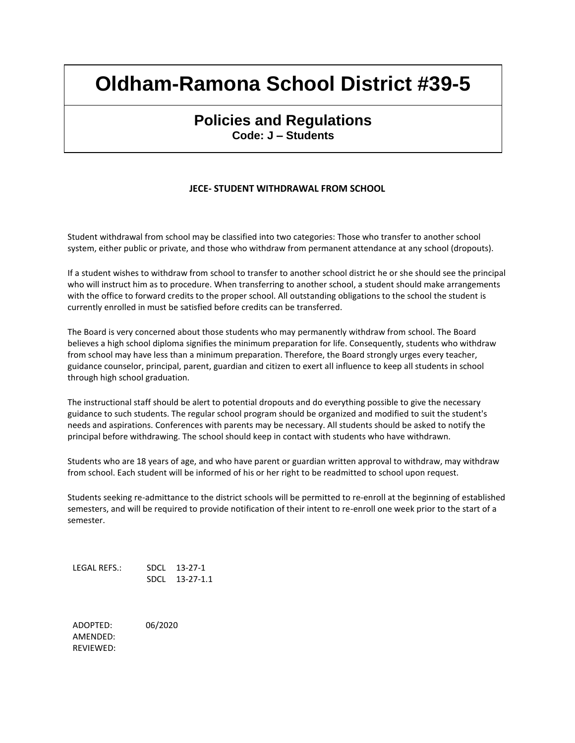### **Policies and Regulations Code: J – Students**

#### **JECE- STUDENT WITHDRAWAL FROM SCHOOL**

Student withdrawal from school may be classified into two categories: Those who transfer to another school system, either public or private, and those who withdraw from permanent attendance at any school (dropouts).

If a student wishes to withdraw from school to transfer to another school district he or she should see the principal who will instruct him as to procedure. When transferring to another school, a student should make arrangements with the office to forward credits to the proper school. All outstanding obligations to the school the student is currently enrolled in must be satisfied before credits can be transferred.

The Board is very concerned about those students who may permanently withdraw from school. The Board believes a high school diploma signifies the minimum preparation for life. Consequently, students who withdraw from school may have less than a minimum preparation. Therefore, the Board strongly urges every teacher, guidance counselor, principal, parent, guardian and citizen to exert all influence to keep all students in school through high school graduation.

The instructional staff should be alert to potential dropouts and do everything possible to give the necessary guidance to such students. The regular school program should be organized and modified to suit the student's needs and aspirations. Conferences with parents may be necessary. All students should be asked to notify the principal before withdrawing. The school should keep in contact with students who have withdrawn.

Students who are 18 years of age, and who have parent or guardian written approval to withdraw, may withdraw from school. Each student will be informed of his or her right to be readmitted to school upon request.

Students seeking re-admittance to the district schools will be permitted to re-enroll at the beginning of established semesters, and will be required to provide notification of their intent to re-enroll one week prior to the start of a semester.

LEGAL REFS.: SDCL 13-27-1 SDCL 13-27-1.1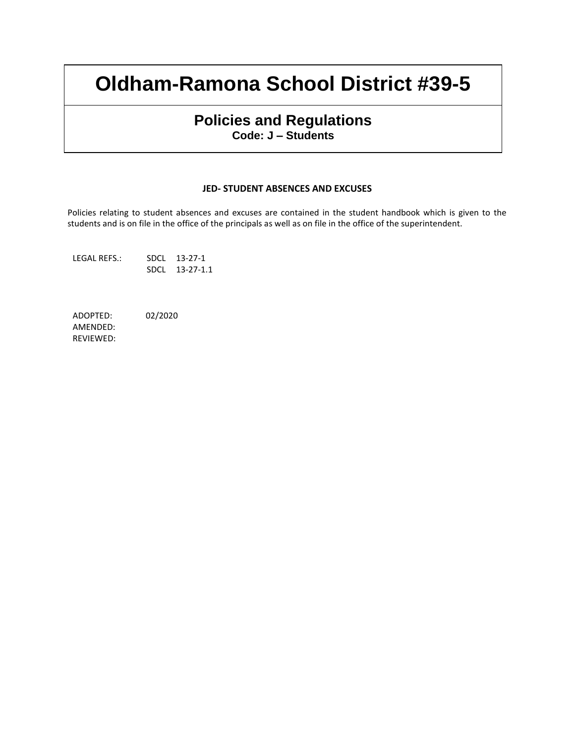### **Policies and Regulations Code: J – Students**

#### **JED- STUDENT ABSENCES AND EXCUSES**

Policies relating to student absences and excuses are contained in the student handbook which is given to the students and is on file in the office of the principals as well as on file in the office of the superintendent.

LEGAL REFS.: SDCL 13-27-1 SDCL 13-27-1.1

ADOPTED: 02/2020 AMENDED:

REVIEWED: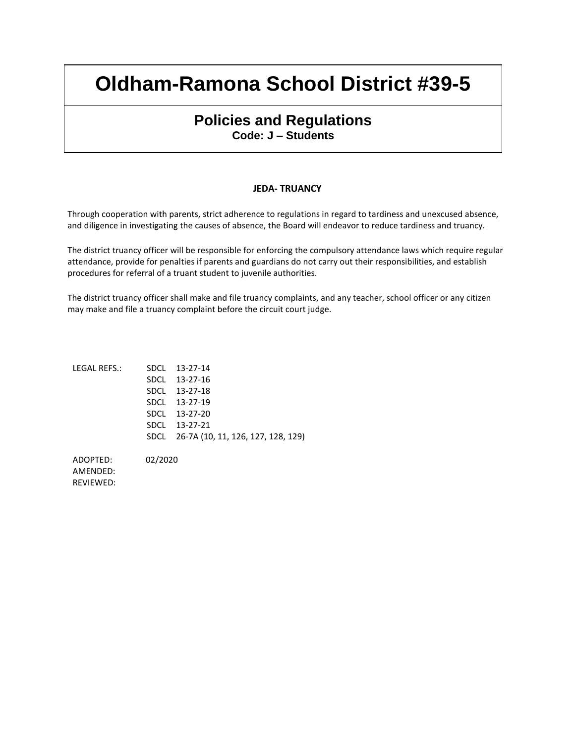### **Policies and Regulations Code: J – Students**

#### **JEDA- TRUANCY**

Through cooperation with parents, strict adherence to regulations in regard to tardiness and unexcused absence, and diligence in investigating the causes of absence, the Board will endeavor to reduce tardiness and truancy.

The district truancy officer will be responsible for enforcing the compulsory attendance laws which require regular attendance, provide for penalties if parents and guardians do not carry out their responsibilities, and establish procedures for referral of a truant student to juvenile authorities.

The district truancy officer shall make and file truancy complaints, and any teacher, school officer or any citizen may make and file a truancy complaint before the circuit court judge.

| LEGAL REFS.: | SDCL 13-27-14                           |
|--------------|-----------------------------------------|
|              | SDCL 13-27-16                           |
|              | SDCL 13-27-18                           |
|              | SDCL 13-27-19                           |
|              | SDCL 13-27-20                           |
|              | SDCL 13-27-21                           |
|              | SDCL 26-7A (10, 11, 126, 127, 128, 129) |
|              |                                         |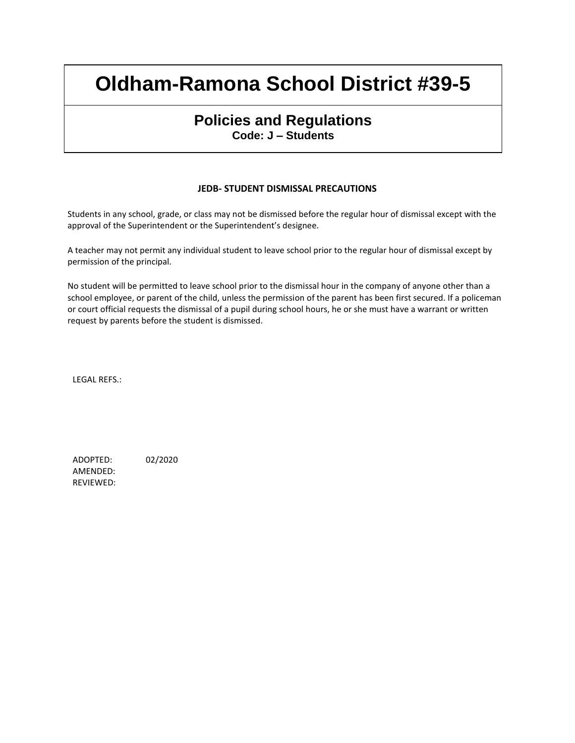### **Policies and Regulations Code: J – Students**

#### **JEDB- STUDENT DISMISSAL PRECAUTIONS**

Students in any school, grade, or class may not be dismissed before the regular hour of dismissal except with the approval of the Superintendent or the Superintendent's designee.

A teacher may not permit any individual student to leave school prior to the regular hour of dismissal except by permission of the principal.

No student will be permitted to leave school prior to the dismissal hour in the company of anyone other than a school employee, or parent of the child, unless the permission of the parent has been first secured. If a policeman or court official requests the dismissal of a pupil during school hours, he or she must have a warrant or written request by parents before the student is dismissed.

LEGAL REFS.: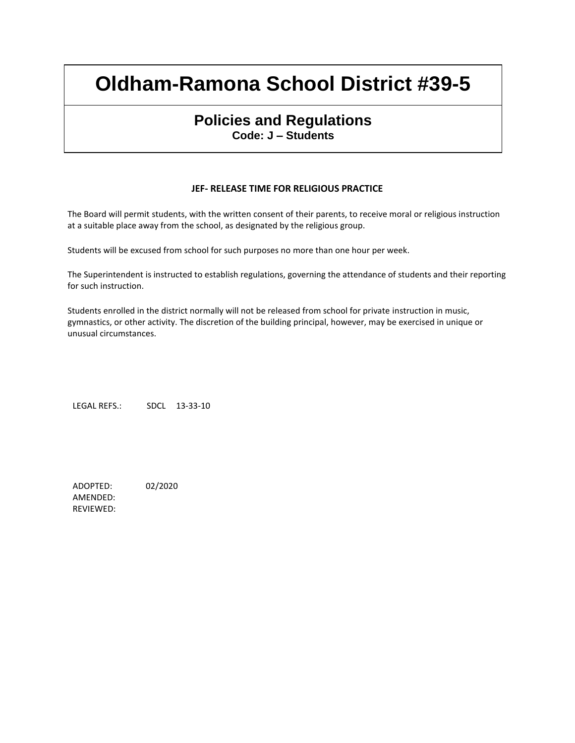### **Policies and Regulations Code: J – Students**

#### **JEF- RELEASE TIME FOR RELIGIOUS PRACTICE**

The Board will permit students, with the written consent of their parents, to receive moral or religious instruction at a suitable place away from the school, as designated by the religious group.

Students will be excused from school for such purposes no more than one hour per week.

The Superintendent is instructed to establish regulations, governing the attendance of students and their reporting for such instruction.

Students enrolled in the district normally will not be released from school for private instruction in music, gymnastics, or other activity. The discretion of the building principal, however, may be exercised in unique or unusual circumstances.

LEGAL REFS.: SDCL 13-33-10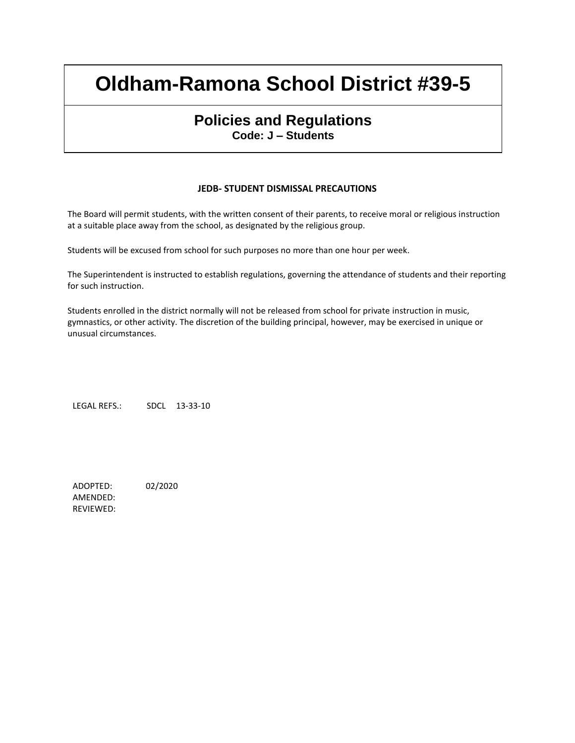### **Policies and Regulations Code: J – Students**

#### **JEDB- STUDENT DISMISSAL PRECAUTIONS**

The Board will permit students, with the written consent of their parents, to receive moral or religious instruction at a suitable place away from the school, as designated by the religious group.

Students will be excused from school for such purposes no more than one hour per week.

The Superintendent is instructed to establish regulations, governing the attendance of students and their reporting for such instruction.

Students enrolled in the district normally will not be released from school for private instruction in music, gymnastics, or other activity. The discretion of the building principal, however, may be exercised in unique or unusual circumstances.

LEGAL REFS.: SDCL 13-33-10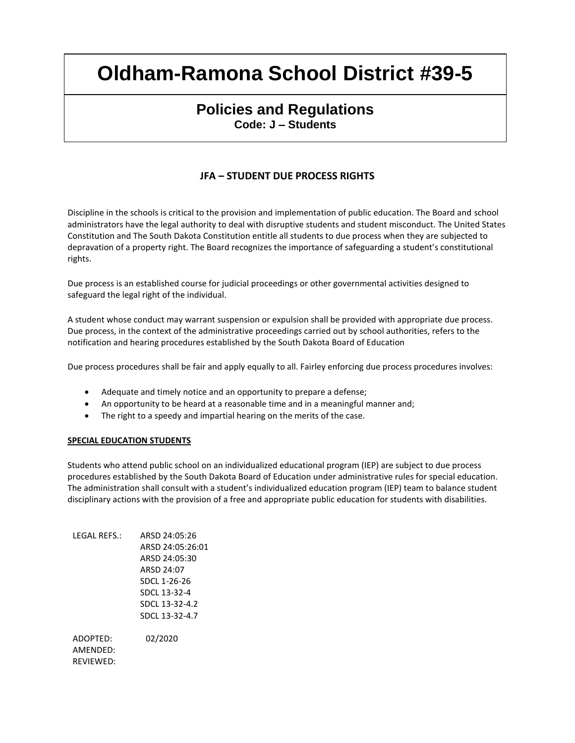### **Policies and Regulations Code: J – Students**

### **JFA – STUDENT DUE PROCESS RIGHTS**

Discipline in the schools is critical to the provision and implementation of public education. The Board and school administrators have the legal authority to deal with disruptive students and student misconduct. The United States Constitution and The South Dakota Constitution entitle all students to due process when they are subjected to depravation of a property right. The Board recognizes the importance of safeguarding a student's constitutional rights.

Due process is an established course for judicial proceedings or other governmental activities designed to safeguard the legal right of the individual.

A student whose conduct may warrant suspension or expulsion shall be provided with appropriate due process. Due process, in the context of the administrative proceedings carried out by school authorities, refers to the notification and hearing procedures established by the South Dakota Board of Education

Due process procedures shall be fair and apply equally to all. Fairley enforcing due process procedures involves:

- Adequate and timely notice and an opportunity to prepare a defense;
- An opportunity to be heard at a reasonable time and in a meaningful manner and;
- The right to a speedy and impartial hearing on the merits of the case.

#### **SPECIAL EDUCATION STUDENTS**

Students who attend public school on an individualized educational program (IEP) are subject to due process procedures established by the South Dakota Board of Education under administrative rules for special education. The administration shall consult with a student's individualized education program (IEP) team to balance student disciplinary actions with the provision of a free and appropriate public education for students with disabilities.

| ARSD 24:05:26    |
|------------------|
| ARSD 24:05:26:01 |
| ARSD 24:05:30    |
| ARSD 24:07       |
| SDCL 1-26-26     |
| SDCL 13-32-4     |
| SDCL 13-32-4.2   |
| SDCL 13-32-4.7   |
|                  |
| 02/2020          |
|                  |
|                  |
|                  |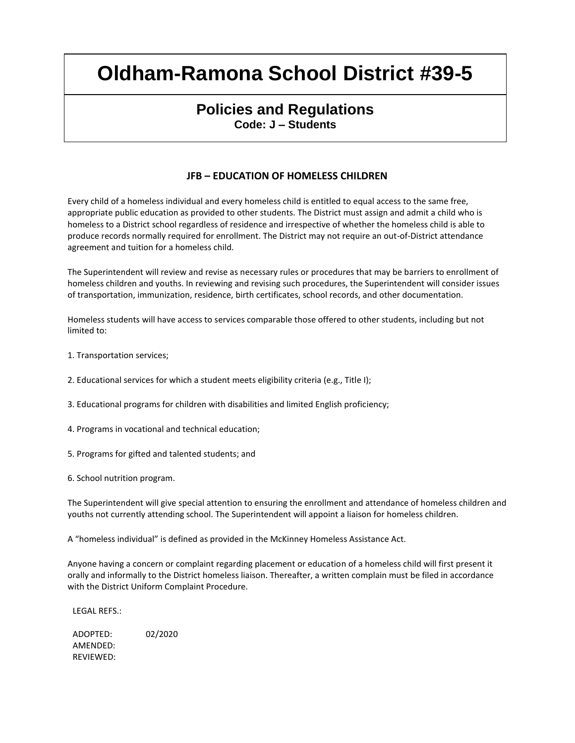### **Policies and Regulations Code: J – Students**

### **JFB – EDUCATION OF HOMELESS CHILDREN**

Every child of a homeless individual and every homeless child is entitled to equal access to the same free, appropriate public education as provided to other students. The District must assign and admit a child who is homeless to a District school regardless of residence and irrespective of whether the homeless child is able to produce records normally required for enrollment. The District may not require an out-of-District attendance agreement and tuition for a homeless child.

The Superintendent will review and revise as necessary rules or procedures that may be barriers to enrollment of homeless children and youths. In reviewing and revising such procedures, the Superintendent will consider issues of transportation, immunization, residence, birth certificates, school records, and other documentation.

Homeless students will have access to services comparable those offered to other students, including but not limited to:

1. Transportation services;

2. Educational services for which a student meets eligibility criteria (e.g., Title I);

3. Educational programs for children with disabilities and limited English proficiency;

4. Programs in vocational and technical education;

5. Programs for gifted and talented students; and

6. School nutrition program.

The Superintendent will give special attention to ensuring the enrollment and attendance of homeless children and youths not currently attending school. The Superintendent will appoint a liaison for homeless children.

A "homeless individual" is defined as provided in the McKinney Homeless Assistance Act.

Anyone having a concern or complaint regarding placement or education of a homeless child will first present it orally and informally to the District homeless liaison. Thereafter, a written complain must be filed in accordance with the District Uniform Complaint Procedure.

LEGAL REFS.: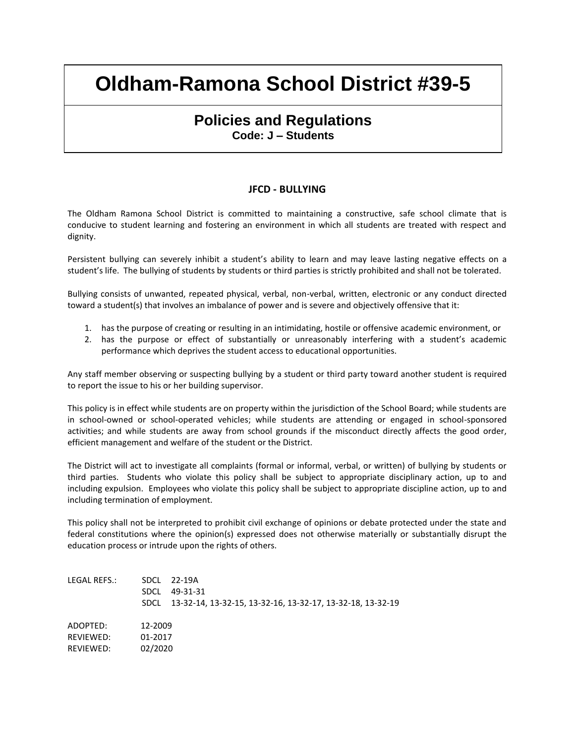### **Policies and Regulations Code: J – Students**

#### **JFCD - BULLYING**

The Oldham Ramona School District is committed to maintaining a constructive, safe school climate that is conducive to student learning and fostering an environment in which all students are treated with respect and dignity.

Persistent bullying can severely inhibit a student's ability to learn and may leave lasting negative effects on a student's life. The bullying of students by students or third parties is strictly prohibited and shall not be tolerated.

Bullying consists of unwanted, repeated physical, verbal, non-verbal, written, electronic or any conduct directed toward a student(s) that involves an imbalance of power and is severe and objectively offensive that it:

- 1. has the purpose of creating or resulting in an intimidating, hostile or offensive academic environment, or
- 2. has the purpose or effect of substantially or unreasonably interfering with a student's academic performance which deprives the student access to educational opportunities.

Any staff member observing or suspecting bullying by a student or third party toward another student is required to report the issue to his or her building supervisor.

This policy is in effect while students are on property within the jurisdiction of the School Board; while students are in school-owned or school-operated vehicles; while students are attending or engaged in school-sponsored activities; and while students are away from school grounds if the misconduct directly affects the good order, efficient management and welfare of the student or the District.

The District will act to investigate all complaints (formal or informal, verbal, or written) of bullying by students or third parties. Students who violate this policy shall be subject to appropriate disciplinary action, up to and including expulsion. Employees who violate this policy shall be subject to appropriate discipline action, up to and including termination of employment.

This policy shall not be interpreted to prohibit civil exchange of opinions or debate protected under the state and federal constitutions where the opinion(s) expressed does not otherwise materially or substantially disrupt the education process or intrude upon the rights of others.

| LEGAL REFS.:                       | <b>SDCL</b>                   | SDCL 22-19A<br>49-31-31<br>SDCL 13-32-14, 13-32-15, 13-32-16, 13-32-17, 13-32-18, 13-32-19 |
|------------------------------------|-------------------------------|--------------------------------------------------------------------------------------------|
| ADOPTED:<br>RFVIFWFD:<br>REVIEWED: | 12-2009<br>01-2017<br>02/2020 |                                                                                            |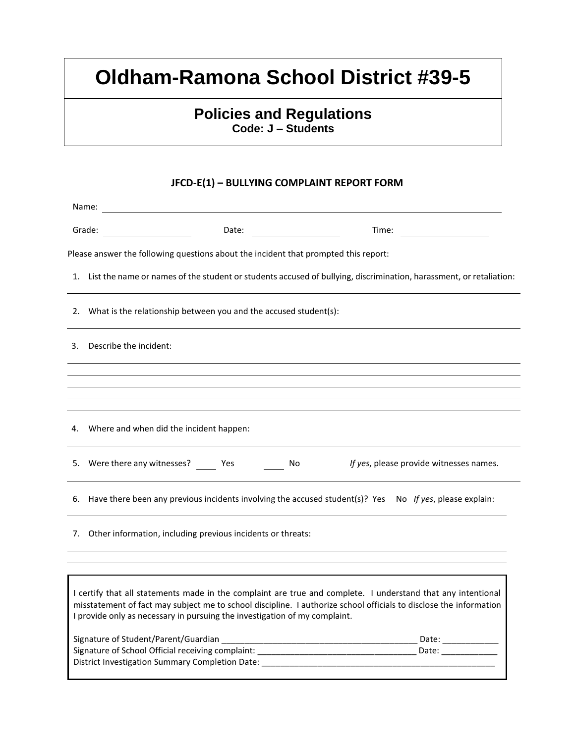## **Policies and Regulations Code: J – Students**

### **JFCD-E(1) – BULLYING COMPLAINT REPORT FORM**

| Date:                                                                                                                 | Time:                                                                                                                                                                                                                                                                                                                                                                                                                                                                                                                                                                                                                                                                                                                                                                                                            |  |  |
|-----------------------------------------------------------------------------------------------------------------------|------------------------------------------------------------------------------------------------------------------------------------------------------------------------------------------------------------------------------------------------------------------------------------------------------------------------------------------------------------------------------------------------------------------------------------------------------------------------------------------------------------------------------------------------------------------------------------------------------------------------------------------------------------------------------------------------------------------------------------------------------------------------------------------------------------------|--|--|
|                                                                                                                       |                                                                                                                                                                                                                                                                                                                                                                                                                                                                                                                                                                                                                                                                                                                                                                                                                  |  |  |
| 1. List the name or names of the student or students accused of bullying, discrimination, harassment, or retaliation: |                                                                                                                                                                                                                                                                                                                                                                                                                                                                                                                                                                                                                                                                                                                                                                                                                  |  |  |
| 2. What is the relationship between you and the accused student(s):                                                   |                                                                                                                                                                                                                                                                                                                                                                                                                                                                                                                                                                                                                                                                                                                                                                                                                  |  |  |
|                                                                                                                       |                                                                                                                                                                                                                                                                                                                                                                                                                                                                                                                                                                                                                                                                                                                                                                                                                  |  |  |
|                                                                                                                       |                                                                                                                                                                                                                                                                                                                                                                                                                                                                                                                                                                                                                                                                                                                                                                                                                  |  |  |
|                                                                                                                       |                                                                                                                                                                                                                                                                                                                                                                                                                                                                                                                                                                                                                                                                                                                                                                                                                  |  |  |
|                                                                                                                       |                                                                                                                                                                                                                                                                                                                                                                                                                                                                                                                                                                                                                                                                                                                                                                                                                  |  |  |
| No                                                                                                                    | If yes, please provide witnesses names.                                                                                                                                                                                                                                                                                                                                                                                                                                                                                                                                                                                                                                                                                                                                                                          |  |  |
|                                                                                                                       |                                                                                                                                                                                                                                                                                                                                                                                                                                                                                                                                                                                                                                                                                                                                                                                                                  |  |  |
|                                                                                                                       |                                                                                                                                                                                                                                                                                                                                                                                                                                                                                                                                                                                                                                                                                                                                                                                                                  |  |  |
|                                                                                                                       |                                                                                                                                                                                                                                                                                                                                                                                                                                                                                                                                                                                                                                                                                                                                                                                                                  |  |  |
|                                                                                                                       | Date: ______________                                                                                                                                                                                                                                                                                                                                                                                                                                                                                                                                                                                                                                                                                                                                                                                             |  |  |
| <b>District Investigation Summary Completion Date:</b>                                                                | Date: ______                                                                                                                                                                                                                                                                                                                                                                                                                                                                                                                                                                                                                                                                                                                                                                                                     |  |  |
| Grade:                                                                                                                | Please answer the following questions about the incident that prompted this report:<br>Describe the incident:<br>4. Where and when did the incident happen:<br>5. Were there any witnesses? _______ Yes _______<br>6. Have there been any previous incidents involving the accused student(s)? Yes No If yes, please explain:<br>7. Other information, including previous incidents or threats:<br>I certify that all statements made in the complaint are true and complete. I understand that any intentional<br>misstatement of fact may subject me to school discipline. I authorize school officials to disclose the information<br>I provide only as necessary in pursuing the investigation of my complaint.<br>Signature of Student/Parent/Guardian<br>Signature of School Official receiving complaint: |  |  |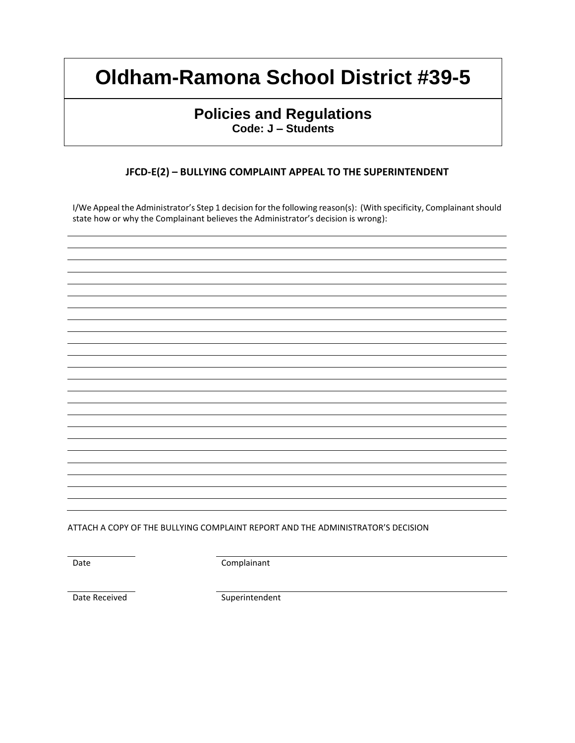## **Policies and Regulations Code: J – Students**

### **JFCD-E(2) – BULLYING COMPLAINT APPEAL TO THE SUPERINTENDENT**

I/We Appeal the Administrator's Step 1 decision for the following reason(s): (With specificity, Complainant should state how or why the Complainant believes the Administrator's decision is wrong):

ATTACH A COPY OF THE BULLYING COMPLAINT REPORT AND THE ADMINISTRATOR'S DECISION

Date Complainant

Date Received Superintendent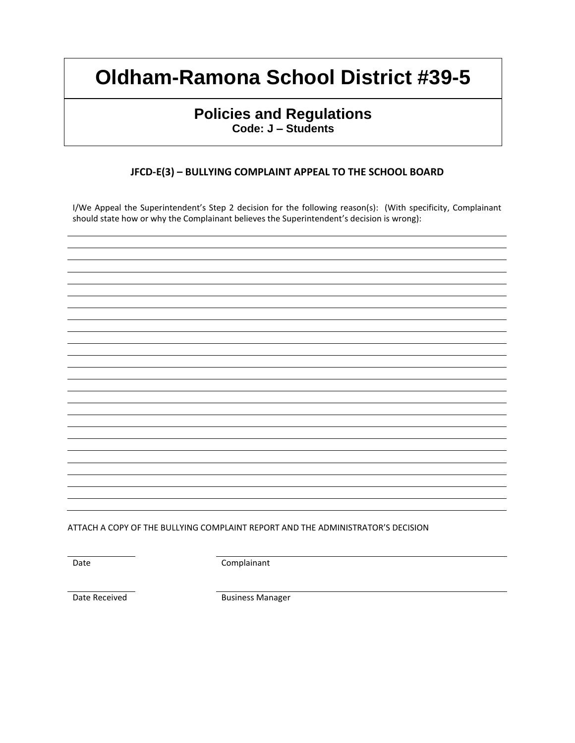## **Policies and Regulations Code: J – Students**

### **JFCD-E(3) – BULLYING COMPLAINT APPEAL TO THE SCHOOL BOARD**

I/We Appeal the Superintendent's Step 2 decision for the following reason(s): (With specificity, Complainant should state how or why the Complainant believes the Superintendent's decision is wrong):

ATTACH A COPY OF THE BULLYING COMPLAINT REPORT AND THE ADMINISTRATOR'S DECISION

Date Complainant

Date Received **Business Manager**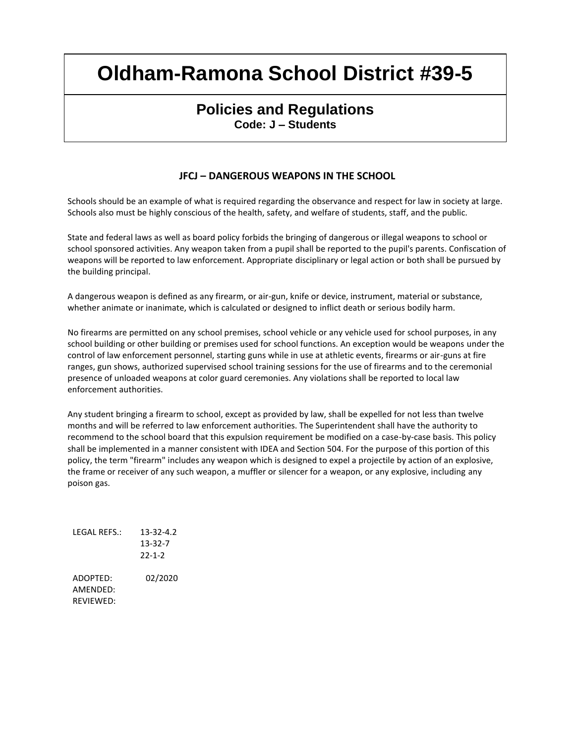## **Policies and Regulations Code: J – Students**

### **JFCJ – DANGEROUS WEAPONS IN THE SCHOOL**

Schools should be an example of what is required regarding the observance and respect for law in society at large. Schools also must be highly conscious of the health, safety, and welfare of students, staff, and the public.

State and federal laws as well as board policy forbids the bringing of dangerous or illegal weapons to school or school sponsored activities. Any weapon taken from a pupil shall be reported to the pupil's parents. Confiscation of weapons will be reported to law enforcement. Appropriate disciplinary or legal action or both shall be pursued by the building principal.

A dangerous weapon is defined as any firearm, or air-gun, knife or device, instrument, material or substance, whether animate or inanimate, which is calculated or designed to inflict death or serious bodily harm.

No firearms are permitted on any school premises, school vehicle or any vehicle used for school purposes, in any school building or other building or premises used for school functions. An exception would be weapons under the control of law enforcement personnel, starting guns while in use at athletic events, firearms or air-guns at fire ranges, gun shows, authorized supervised school training sessions for the use of firearms and to the ceremonial presence of unloaded weapons at color guard ceremonies. Any violations shall be reported to local law enforcement authorities.

Any student bringing a firearm to school, except as provided by law, shall be expelled for not less than twelve months and will be referred to law enforcement authorities. The Superintendent shall have the authority to recommend to the school board that this expulsion requirement be modified on a case-by-case basis. This policy shall be implemented in a manner consistent with IDEA and Section 504. For the purpose of this portion of this policy, the term "firearm" includes any weapon which is designed to expel a projectile by action of an explosive, the frame or receiver of any such weapon, a muffler or silencer for a weapon, or any explosive, including any poison gas.

LEGAL REFS.: 13-32-4.2 13-32-7 22-1-2 ADOPTED: 02/2020 AMENDED: REVIEWED: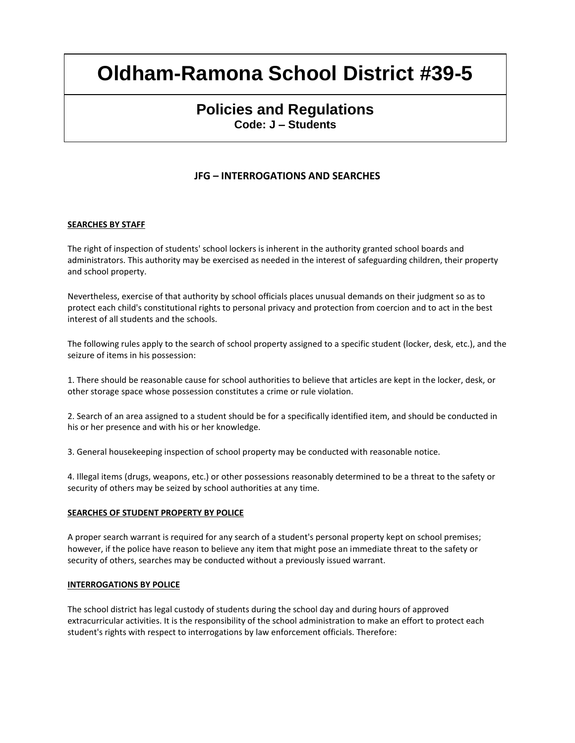## **Policies and Regulations Code: J – Students**

### **JFG – INTERROGATIONS AND SEARCHES**

#### **SEARCHES BY STAFF**

The right of inspection of students' school lockers is inherent in the authority granted school boards and administrators. This authority may be exercised as needed in the interest of safeguarding children, their property and school property.

Nevertheless, exercise of that authority by school officials places unusual demands on their judgment so as to protect each child's constitutional rights to personal privacy and protection from coercion and to act in the best interest of all students and the schools.

The following rules apply to the search of school property assigned to a specific student (locker, desk, etc.), and the seizure of items in his possession:

1. There should be reasonable cause for school authorities to believe that articles are kept in the locker, desk, or other storage space whose possession constitutes a crime or rule violation.

2. Search of an area assigned to a student should be for a specifically identified item, and should be conducted in his or her presence and with his or her knowledge.

3. General housekeeping inspection of school property may be conducted with reasonable notice.

4. Illegal items (drugs, weapons, etc.) or other possessions reasonably determined to be a threat to the safety or security of others may be seized by school authorities at any time.

#### **SEARCHES OF STUDENT PROPERTY BY POLICE**

A proper search warrant is required for any search of a student's personal property kept on school premises; however, if the police have reason to believe any item that might pose an immediate threat to the safety or security of others, searches may be conducted without a previously issued warrant.

#### **INTERROGATIONS BY POLICE**

The school district has legal custody of students during the school day and during hours of approved extracurricular activities. It is the responsibility of the school administration to make an effort to protect each student's rights with respect to interrogations by law enforcement officials. Therefore: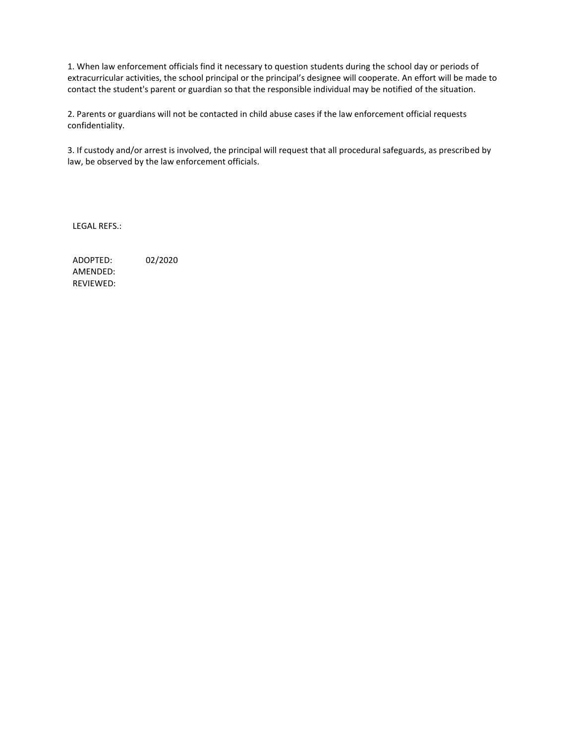1. When law enforcement officials find it necessary to question students during the school day or periods of extracurricular activities, the school principal or the principal's designee will cooperate. An effort will be made to contact the student's parent or guardian so that the responsible individual may be notified of the situation.

2. Parents or guardians will not be contacted in child abuse cases if the law enforcement official requests confidentiality.

3. If custody and/or arrest is involved, the principal will request that all procedural safeguards, as prescribed by law, be observed by the law enforcement officials.

LEGAL REFS.: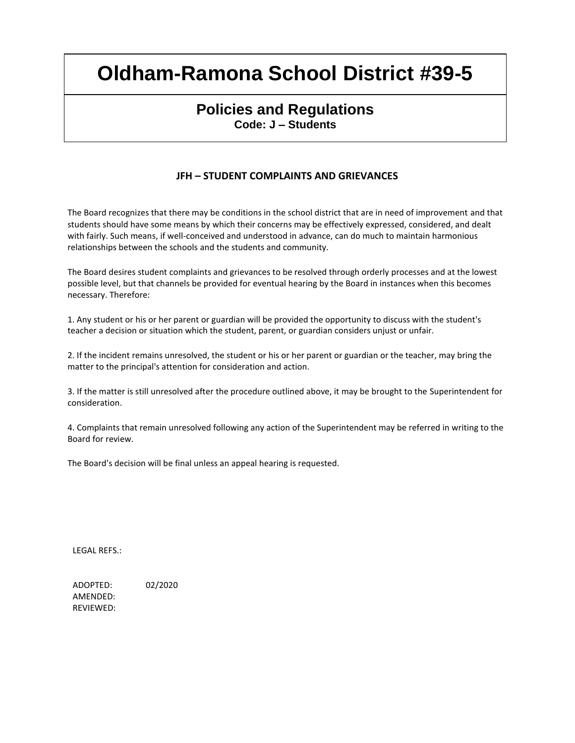## **Policies and Regulations Code: J – Students**

### **JFH – STUDENT COMPLAINTS AND GRIEVANCES**

The Board recognizes that there may be conditions in the school district that are in need of improvement and that students should have some means by which their concerns may be effectively expressed, considered, and dealt with fairly. Such means, if well-conceived and understood in advance, can do much to maintain harmonious relationships between the schools and the students and community.

The Board desires student complaints and grievances to be resolved through orderly processes and at the lowest possible level, but that channels be provided for eventual hearing by the Board in instances when this becomes necessary. Therefore:

1. Any student or his or her parent or guardian will be provided the opportunity to discuss with the student's teacher a decision or situation which the student, parent, or guardian considers unjust or unfair.

2. If the incident remains unresolved, the student or his or her parent or guardian or the teacher, may bring the matter to the principal's attention for consideration and action.

3. If the matter is still unresolved after the procedure outlined above, it may be brought to the Superintendent for consideration.

4. Complaints that remain unresolved following any action of the Superintendent may be referred in writing to the Board for review.

The Board's decision will be final unless an appeal hearing is requested.

LEGAL REFS.: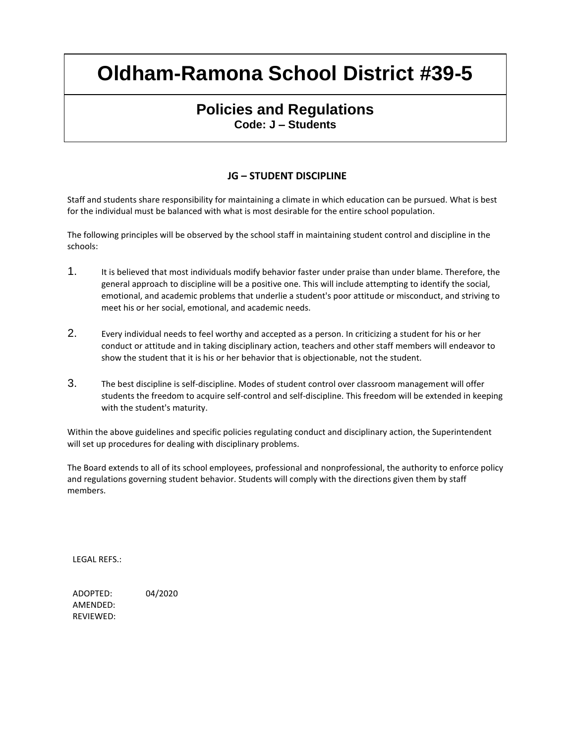### **Policies and Regulations Code: J – Students**

### **JG – STUDENT DISCIPLINE**

Staff and students share responsibility for maintaining a climate in which education can be pursued. What is best for the individual must be balanced with what is most desirable for the entire school population.

The following principles will be observed by the school staff in maintaining student control and discipline in the schools:

- 1. It is believed that most individuals modify behavior faster under praise than under blame. Therefore, the general approach to discipline will be a positive one. This will include attempting to identify the social, emotional, and academic problems that underlie a student's poor attitude or misconduct, and striving to meet his or her social, emotional, and academic needs.
- 2. Every individual needs to feel worthy and accepted as a person. In criticizing a student for his or her conduct or attitude and in taking disciplinary action, teachers and other staff members will endeavor to show the student that it is his or her behavior that is objectionable, not the student.
- 3. The best discipline is self-discipline. Modes of student control over classroom management will offer students the freedom to acquire self-control and self-discipline. This freedom will be extended in keeping with the student's maturity.

Within the above guidelines and specific policies regulating conduct and disciplinary action, the Superintendent will set up procedures for dealing with disciplinary problems.

The Board extends to all of its school employees, professional and nonprofessional, the authority to enforce policy and regulations governing student behavior. Students will comply with the directions given them by staff members.

LEGAL REFS.: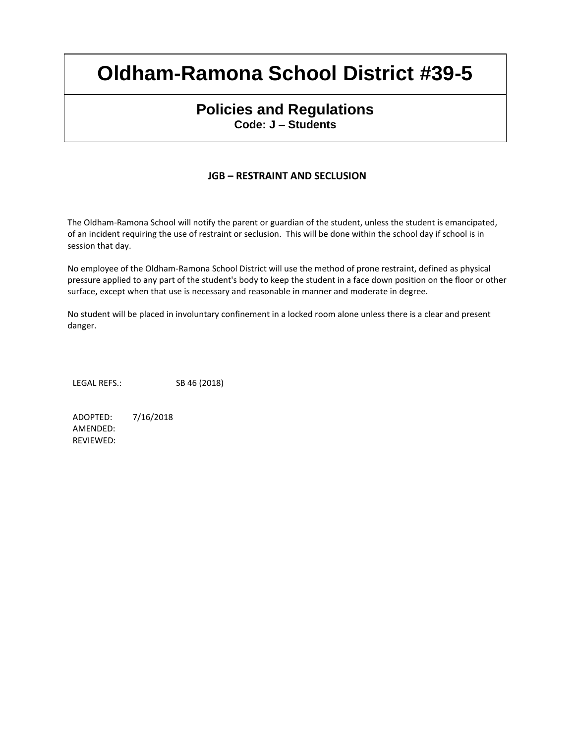### **Policies and Regulations Code: J – Students**

### **JGB – RESTRAINT AND SECLUSION**

The Oldham-Ramona School will notify the parent or guardian of the student, unless the student is emancipated, of an incident requiring the use of restraint or seclusion. This will be done within the school day if school is in session that day.

No employee of the Oldham-Ramona School District will use the method of prone restraint, defined as physical pressure applied to any part of the student's body to keep the student in a face down position on the floor or other surface, except when that use is necessary and reasonable in manner and moderate in degree.

No student will be placed in involuntary confinement in a locked room alone unless there is a clear and present danger.

LEGAL REFS.: SB 46 (2018)

ADOPTED: 7/16/2018 AMENDED: REVIEWED: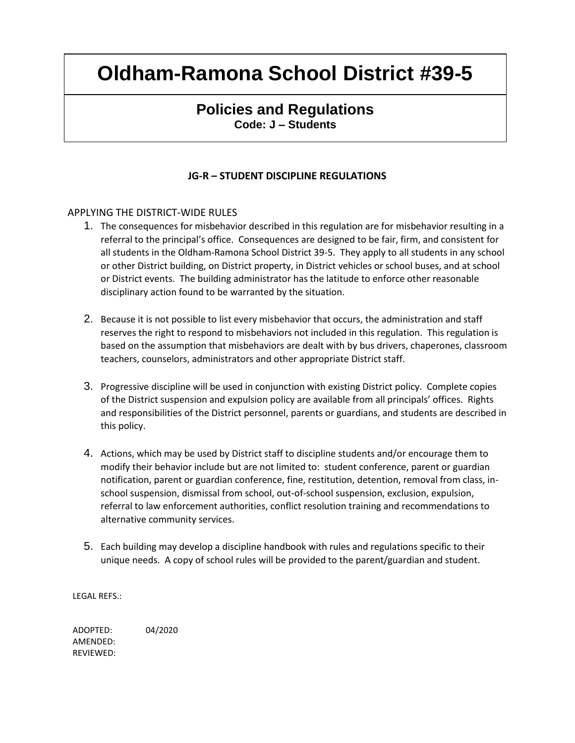## **Policies and Regulations Code: J – Students**

### **JG-R – STUDENT DISCIPLINE REGULATIONS**

#### APPLYING THE DISTRICT-WIDE RULES

- 1. The consequences for misbehavior described in this regulation are for misbehavior resulting in a referral to the principal's office. Consequences are designed to be fair, firm, and consistent for all students in the Oldham-Ramona School District 39-5. They apply to all students in any school or other District building, on District property, in District vehicles or school buses, and at school or District events. The building administrator has the latitude to enforce other reasonable disciplinary action found to be warranted by the situation.
- 2. Because it is not possible to list every misbehavior that occurs, the administration and staff reserves the right to respond to misbehaviors not included in this regulation. This regulation is based on the assumption that misbehaviors are dealt with by bus drivers, chaperones, classroom teachers, counselors, administrators and other appropriate District staff.
- 3. Progressive discipline will be used in conjunction with existing District policy. Complete copies of the District suspension and expulsion policy are available from all principals' offices. Rights and responsibilities of the District personnel, parents or guardians, and students are described in this policy.
- 4. Actions, which may be used by District staff to discipline students and/or encourage them to modify their behavior include but are not limited to: student conference, parent or guardian notification, parent or guardian conference, fine, restitution, detention, removal from class, inschool suspension, dismissal from school, out-of-school suspension, exclusion, expulsion, referral to law enforcement authorities, conflict resolution training and recommendations to alternative community services.
- 5. Each building may develop a discipline handbook with rules and regulations specific to their unique needs. A copy of school rules will be provided to the parent/guardian and student.

LEGAL REFS.: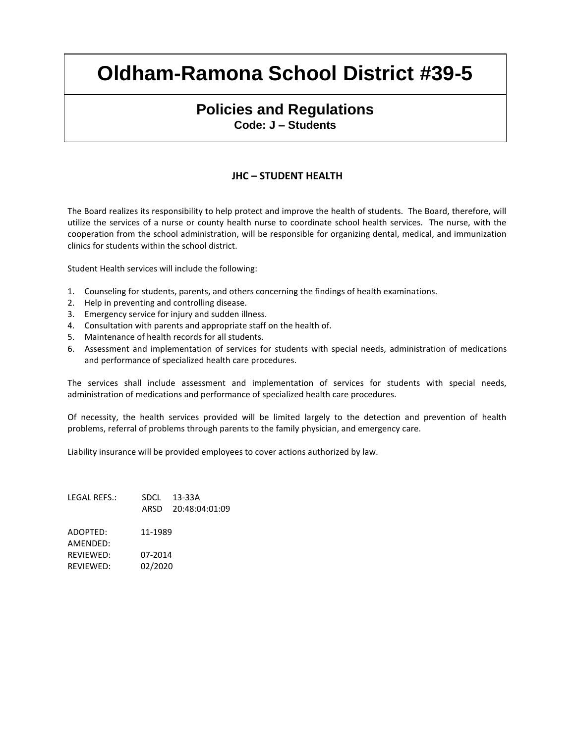### **Policies and Regulations Code: J – Students**

#### **JHC – STUDENT HEALTH**

The Board realizes its responsibility to help protect and improve the health of students. The Board, therefore, will utilize the services of a nurse or county health nurse to coordinate school health services. The nurse, with the cooperation from the school administration, will be responsible for organizing dental, medical, and immunization clinics for students within the school district.

Student Health services will include the following:

- 1. Counseling for students, parents, and others concerning the findings of health examinations.
- 2. Help in preventing and controlling disease.
- 3. Emergency service for injury and sudden illness.
- 4. Consultation with parents and appropriate staff on the health of.
- 5. Maintenance of health records for all students.
- 6. Assessment and implementation of services for students with special needs, administration of medications and performance of specialized health care procedures.

The services shall include assessment and implementation of services for students with special needs, administration of medications and performance of specialized health care procedures.

Of necessity, the health services provided will be limited largely to the detection and prevention of health problems, referral of problems through parents to the family physician, and emergency care.

Liability insurance will be provided employees to cover actions authorized by law.

| LEGAL REFS.:     |         | SDCL 13-33A<br>ARSD 20:48:04:01:09 |
|------------------|---------|------------------------------------|
| ADOPTED:         | 11-1989 |                                    |
| AMFNDFD:         |         |                                    |
| <b>REVIEWED:</b> | 07-2014 |                                    |
| REVIEWED:        | 02/2020 |                                    |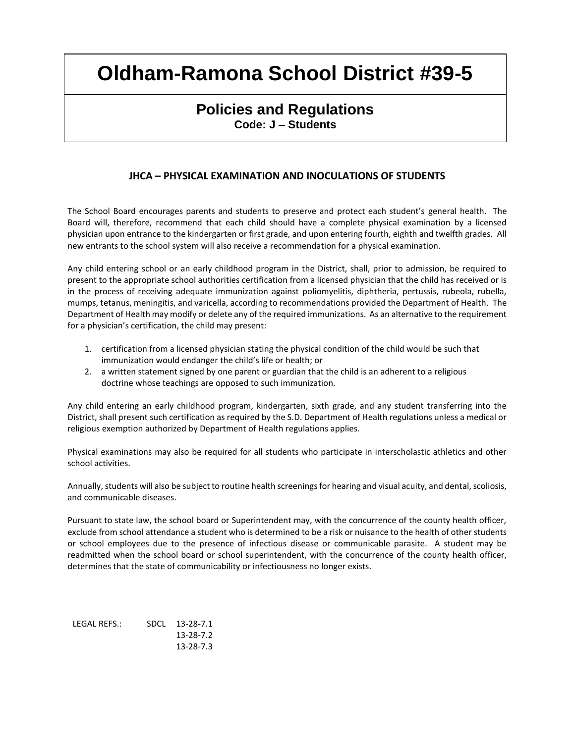## **Policies and Regulations Code: J – Students**

### **JHCA – PHYSICAL EXAMINATION AND INOCULATIONS OF STUDENTS**

The School Board encourages parents and students to preserve and protect each student's general health. The Board will, therefore, recommend that each child should have a complete physical examination by a licensed physician upon entrance to the kindergarten or first grade, and upon entering fourth, eighth and twelfth grades. All new entrants to the school system will also receive a recommendation for a physical examination.

Any child entering school or an early childhood program in the District, shall, prior to admission, be required to present to the appropriate school authorities certification from a licensed physician that the child has received or is in the process of receiving adequate immunization against poliomyelitis, diphtheria, pertussis, rubeola, rubella, mumps, tetanus, meningitis, and varicella, according to recommendations provided the Department of Health. The Department of Health may modify or delete any of the required immunizations. As an alternative to the requirement for a physician's certification, the child may present:

- 1. certification from a licensed physician stating the physical condition of the child would be such that immunization would endanger the child's life or health; or
- 2. a written statement signed by one parent or guardian that the child is an adherent to a religious doctrine whose teachings are opposed to such immunization.

Any child entering an early childhood program, kindergarten, sixth grade, and any student transferring into the District, shall present such certification as required by the S.D. Department of Health regulations unless a medical or religious exemption authorized by Department of Health regulations applies.

Physical examinations may also be required for all students who participate in interscholastic athletics and other school activities.

Annually, students will also be subject to routine health screenings for hearing and visual acuity, and dental, scoliosis, and communicable diseases.

Pursuant to state law, the school board or Superintendent may, with the concurrence of the county health officer, exclude from school attendance a student who is determined to be a risk or nuisance to the health of other students or school employees due to the presence of infectious disease or communicable parasite. A student may be readmitted when the school board or school superintendent, with the concurrence of the county health officer, determines that the state of communicability or infectiousness no longer exists.

| LEGAL REFS.: | SDCL 13-28-7.1 |
|--------------|----------------|
|              | 13-28-7.2      |
|              | 13-28-7.3      |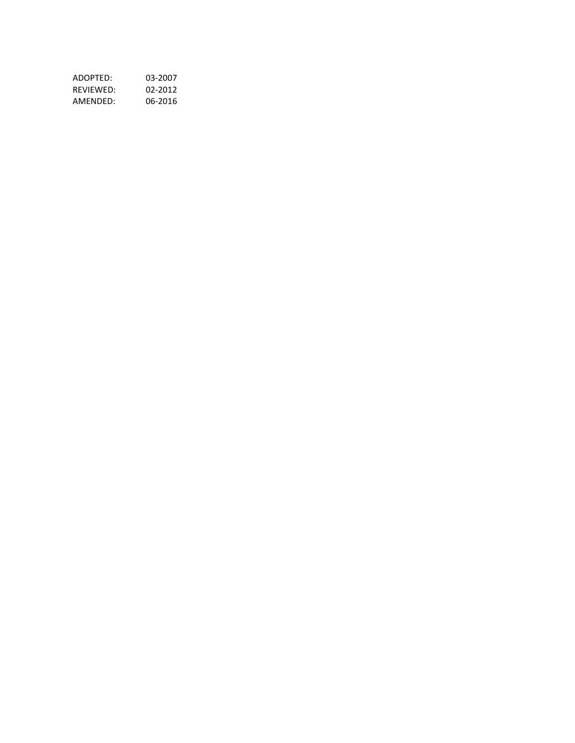| ADOPTED:  | 03-2007 |
|-----------|---------|
| RFVIFWFD: | 02-2012 |
| AMFNDFD:  | 06-2016 |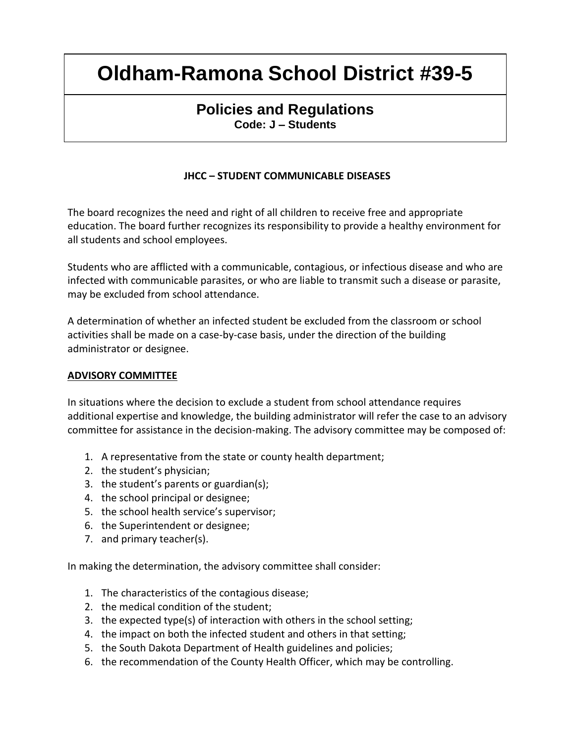## **Policies and Regulations Code: J – Students**

### **JHCC – STUDENT COMMUNICABLE DISEASES**

The board recognizes the need and right of all children to receive free and appropriate education. The board further recognizes its responsibility to provide a healthy environment for all students and school employees.

Students who are afflicted with a communicable, contagious, or infectious disease and who are infected with communicable parasites, or who are liable to transmit such a disease or parasite, may be excluded from school attendance.

A determination of whether an infected student be excluded from the classroom or school activities shall be made on a case-by-case basis, under the direction of the building administrator or designee.

#### **ADVISORY COMMITTEE**

In situations where the decision to exclude a student from school attendance requires additional expertise and knowledge, the building administrator will refer the case to an advisory committee for assistance in the decision-making. The advisory committee may be composed of:

- 1. A representative from the state or county health department;
- 2. the student's physician;
- 3. the student's parents or guardian(s);
- 4. the school principal or designee;
- 5. the school health service's supervisor;
- 6. the Superintendent or designee;
- 7. and primary teacher(s).

In making the determination, the advisory committee shall consider:

- 1. The characteristics of the contagious disease;
- 2. the medical condition of the student;
- 3. the expected type(s) of interaction with others in the school setting;
- 4. the impact on both the infected student and others in that setting;
- 5. the South Dakota Department of Health guidelines and policies;
- 6. the recommendation of the County Health Officer, which may be controlling.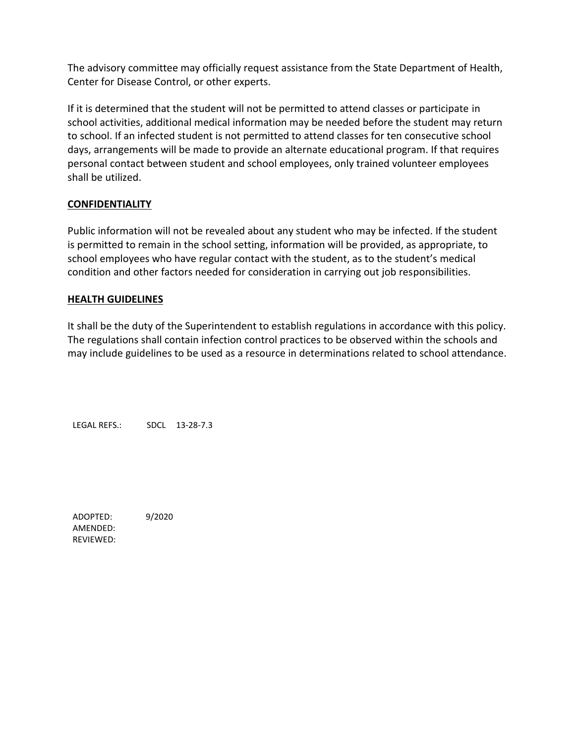The advisory committee may officially request assistance from the State Department of Health, Center for Disease Control, or other experts.

If it is determined that the student will not be permitted to attend classes or participate in school activities, additional medical information may be needed before the student may return to school. If an infected student is not permitted to attend classes for ten consecutive school days, arrangements will be made to provide an alternate educational program. If that requires personal contact between student and school employees, only trained volunteer employees shall be utilized.

### **CONFIDENTIALITY**

Public information will not be revealed about any student who may be infected. If the student is permitted to remain in the school setting, information will be provided, as appropriate, to school employees who have regular contact with the student, as to the student's medical condition and other factors needed for consideration in carrying out job responsibilities.

### **HEALTH GUIDELINES**

It shall be the duty of the Superintendent to establish regulations in accordance with this policy. The regulations shall contain infection control practices to be observed within the schools and may include guidelines to be used as a resource in determinations related to school attendance.

LEGAL REFS.: SDCL 13-28-7.3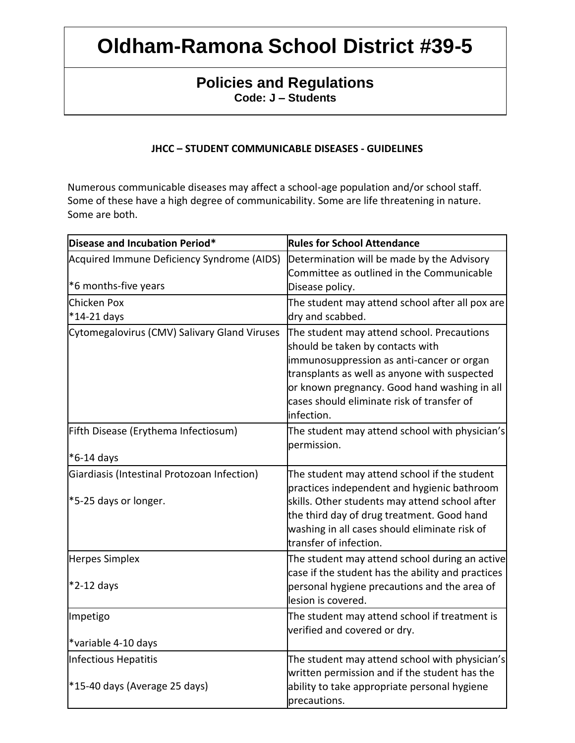## **Policies and Regulations Code: J – Students**

### **JHCC – STUDENT COMMUNICABLE DISEASES - GUIDELINES**

Numerous communicable diseases may affect a school-age population and/or school staff. Some of these have a high degree of communicability. Some are life threatening in nature. Some are both.

| Disease and Incubation Period*                                       | <b>Rules for School Attendance</b>                                                                                                                                                                                                                                                      |
|----------------------------------------------------------------------|-----------------------------------------------------------------------------------------------------------------------------------------------------------------------------------------------------------------------------------------------------------------------------------------|
| Acquired Immune Deficiency Syndrome (AIDS)                           | Determination will be made by the Advisory<br>Committee as outlined in the Communicable                                                                                                                                                                                                 |
| *6 months-five years                                                 | Disease policy.                                                                                                                                                                                                                                                                         |
| Chicken Pox<br>*14-21 days                                           | The student may attend school after all pox are<br>dry and scabbed.                                                                                                                                                                                                                     |
| Cytomegalovirus (CMV) Salivary Gland Viruses                         | The student may attend school. Precautions<br>should be taken by contacts with<br>immunosuppression as anti-cancer or organ<br>transplants as well as anyone with suspected<br>or known pregnancy. Good hand washing in all<br>cases should eliminate risk of transfer of<br>infection. |
| Fifth Disease (Erythema Infectiosum)                                 | The student may attend school with physician's<br>permission.                                                                                                                                                                                                                           |
| $*6-14$ days                                                         |                                                                                                                                                                                                                                                                                         |
| Giardiasis (Intestinal Protozoan Infection)<br>*5-25 days or longer. | The student may attend school if the student<br>practices independent and hygienic bathroom<br>skills. Other students may attend school after                                                                                                                                           |
|                                                                      | the third day of drug treatment. Good hand<br>washing in all cases should eliminate risk of<br>transfer of infection.                                                                                                                                                                   |
| Herpes Simplex                                                       | The student may attend school during an active<br>case if the student has the ability and practices                                                                                                                                                                                     |
| $*2-12$ days                                                         | personal hygiene precautions and the area of<br>lesion is covered.                                                                                                                                                                                                                      |
| Impetigo                                                             | The student may attend school if treatment is<br>verified and covered or dry.                                                                                                                                                                                                           |
| *variable 4-10 days                                                  |                                                                                                                                                                                                                                                                                         |
| Infectious Hepatitis                                                 | The student may attend school with physician's<br>written permission and if the student has the                                                                                                                                                                                         |
| *15-40 days (Average 25 days)                                        | ability to take appropriate personal hygiene<br>precautions.                                                                                                                                                                                                                            |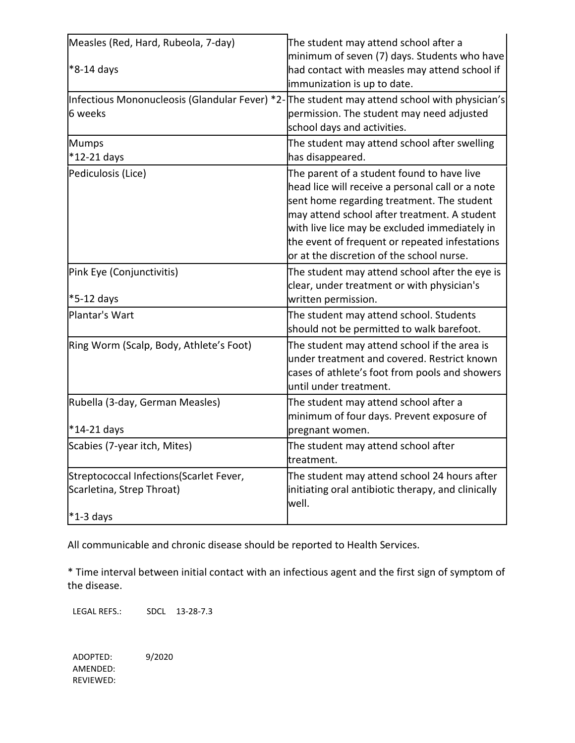| Measles (Red, Hard, Rubeola, 7-day)                                   | The student may attend school after a                                                                                                                                                                                                                                                                                                        |
|-----------------------------------------------------------------------|----------------------------------------------------------------------------------------------------------------------------------------------------------------------------------------------------------------------------------------------------------------------------------------------------------------------------------------------|
| *8-14 days                                                            | minimum of seven (7) days. Students who have<br>had contact with measles may attend school if<br>immunization is up to date.                                                                                                                                                                                                                 |
| 6 weeks                                                               | Infectious Mononucleosis (Glandular Fever) *2-The student may attend school with physician's<br>permission. The student may need adjusted<br>school days and activities.                                                                                                                                                                     |
| <b>Mumps</b><br>*12-21 days                                           | The student may attend school after swelling<br>has disappeared.                                                                                                                                                                                                                                                                             |
| Pediculosis (Lice)                                                    | The parent of a student found to have live<br>head lice will receive a personal call or a note<br>sent home regarding treatment. The student<br>may attend school after treatment. A student<br>with live lice may be excluded immediately in<br>the event of frequent or repeated infestations<br>or at the discretion of the school nurse. |
| Pink Eye (Conjunctivitis)<br>*5-12 days                               | The student may attend school after the eye is<br>clear, under treatment or with physician's<br>written permission.                                                                                                                                                                                                                          |
| Plantar's Wart                                                        | The student may attend school. Students<br>should not be permitted to walk barefoot.                                                                                                                                                                                                                                                         |
| Ring Worm (Scalp, Body, Athlete's Foot)                               | The student may attend school if the area is<br>under treatment and covered. Restrict known<br>cases of athlete's foot from pools and showers<br>until under treatment.                                                                                                                                                                      |
| Rubella (3-day, German Measles)                                       | The student may attend school after a<br>minimum of four days. Prevent exposure of                                                                                                                                                                                                                                                           |
| $*14-21$ days<br>Scabies (7-year itch, Mites)                         | pregnant women.                                                                                                                                                                                                                                                                                                                              |
|                                                                       | The student may attend school after<br>treatment.                                                                                                                                                                                                                                                                                            |
| Streptococcal Infections (Scarlet Fever,<br>Scarletina, Strep Throat) | The student may attend school 24 hours after<br>initiating oral antibiotic therapy, and clinically<br>well.                                                                                                                                                                                                                                  |
| $*1-3$ days                                                           |                                                                                                                                                                                                                                                                                                                                              |

All communicable and chronic disease should be reported to Health Services.

\* Time interval between initial contact with an infectious agent and the first sign of symptom of the disease.

LEGAL REFS.: SDCL 13-28-7.3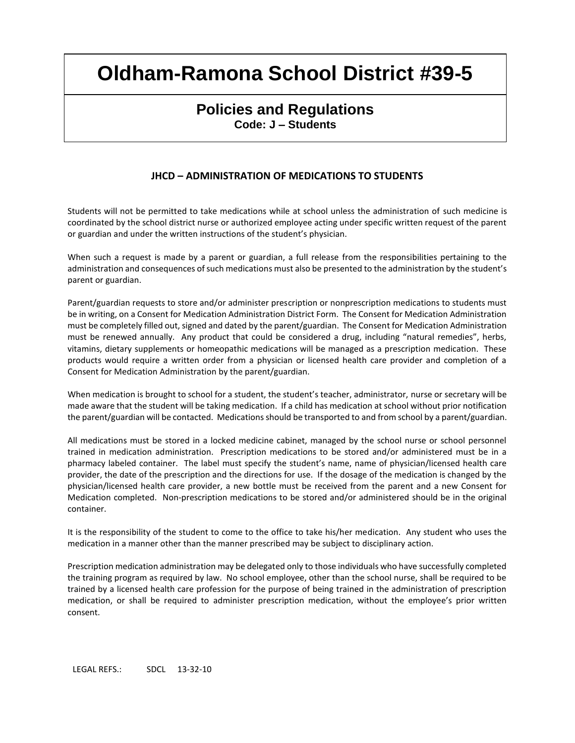### **Policies and Regulations Code: J – Students**

#### **JHCD – ADMINISTRATION OF MEDICATIONS TO STUDENTS**

Students will not be permitted to take medications while at school unless the administration of such medicine is coordinated by the school district nurse or authorized employee acting under specific written request of the parent or guardian and under the written instructions of the student's physician.

When such a request is made by a parent or guardian, a full release from the responsibilities pertaining to the administration and consequences of such medications must also be presented to the administration by the student's parent or guardian.

Parent/guardian requests to store and/or administer prescription or nonprescription medications to students must be in writing, on a Consent for Medication Administration District Form. The Consent for Medication Administration must be completely filled out, signed and dated by the parent/guardian. The Consent for Medication Administration must be renewed annually. Any product that could be considered a drug, including "natural remedies", herbs, vitamins, dietary supplements or homeopathic medications will be managed as a prescription medication. These products would require a written order from a physician or licensed health care provider and completion of a Consent for Medication Administration by the parent/guardian.

When medication is brought to school for a student, the student's teacher, administrator, nurse or secretary will be made aware that the student will be taking medication. If a child has medication at school without prior notification the parent/guardian will be contacted. Medications should be transported to and from school by a parent/guardian.

All medications must be stored in a locked medicine cabinet, managed by the school nurse or school personnel trained in medication administration. Prescription medications to be stored and/or administered must be in a pharmacy labeled container. The label must specify the student's name, name of physician/licensed health care provider, the date of the prescription and the directions for use. If the dosage of the medication is changed by the physician/licensed health care provider, a new bottle must be received from the parent and a new Consent for Medication completed. Non-prescription medications to be stored and/or administered should be in the original container.

It is the responsibility of the student to come to the office to take his/her medication. Any student who uses the medication in a manner other than the manner prescribed may be subject to disciplinary action.

Prescription medication administration may be delegated only to those individuals who have successfully completed the training program as required by law. No school employee, other than the school nurse, shall be required to be trained by a licensed health care profession for the purpose of being trained in the administration of prescription medication, or shall be required to administer prescription medication, without the employee's prior written consent.

LEGAL REFS.: SDCL 13-32-10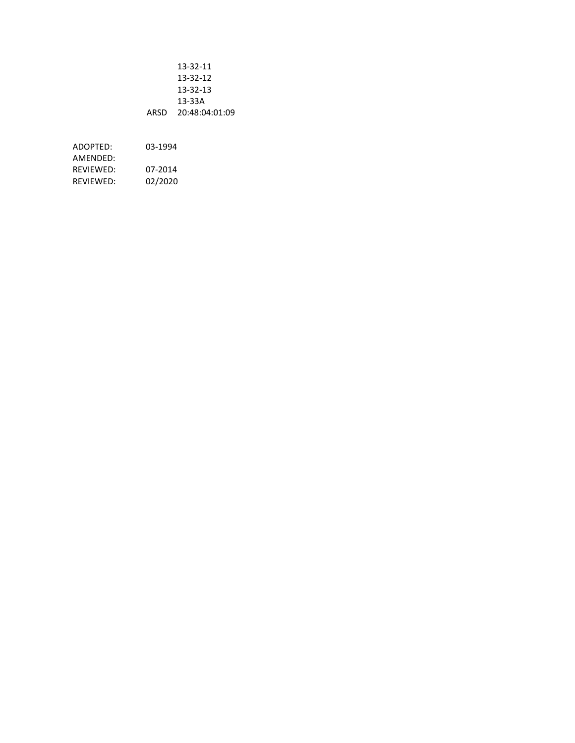|      | 13-32-11       |
|------|----------------|
|      | 13-32-12       |
|      | 13-32-13       |
|      | 13-33A         |
| ARSD | 20:48:04:01:09 |

ADOPTED: 03-1994 AMENDED: REVIEWED: 07-2014 REVIEWED: 02/2020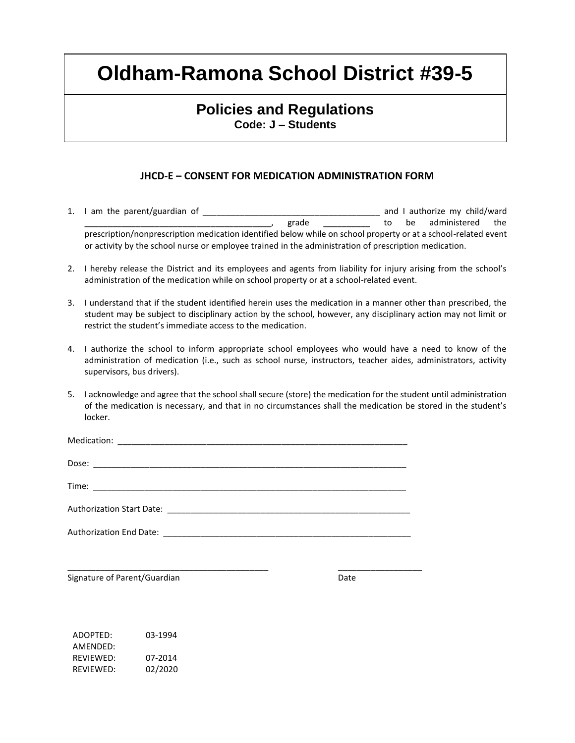### **Policies and Regulations Code: J – Students**

### **JHCD-E – CONSENT FOR MEDICATION ADMINISTRATION FORM**

- 1. I am the parent/guardian of \_\_\_\_\_\_\_\_\_\_\_\_\_\_\_\_\_\_\_\_\_\_\_\_\_\_\_\_\_\_\_\_\_\_\_\_\_\_ and I authorize my child/ward grade \_\_\_\_\_\_\_\_\_\_\_\_\_\_ to be administered the prescription/nonprescription medication identified below while on school property or at a school-related event or activity by the school nurse or employee trained in the administration of prescription medication.
- 2. I hereby release the District and its employees and agents from liability for injury arising from the school's administration of the medication while on school property or at a school-related event.
- 3. I understand that if the student identified herein uses the medication in a manner other than prescribed, the student may be subject to disciplinary action by the school, however, any disciplinary action may not limit or restrict the student's immediate access to the medication.
- 4. I authorize the school to inform appropriate school employees who would have a need to know of the administration of medication (i.e., such as school nurse, instructors, teacher aides, administrators, activity supervisors, bus drivers).
- 5. I acknowledge and agree that the school shall secure (store) the medication for the student until administration of the medication is necessary, and that in no circumstances shall the medication be stored in the student's locker.

\_\_\_\_\_\_\_\_\_\_\_\_\_\_\_\_\_\_\_\_\_\_\_\_\_\_\_\_\_\_\_\_\_\_\_\_\_\_\_\_\_\_\_ \_\_\_\_\_\_\_\_\_\_\_\_\_\_\_\_\_\_

Signature of Parent/Guardian Date Date

ADOPTED: 03-1994 AMENDED: REVIEWED: 07-2014 REVIEWED: 02/2020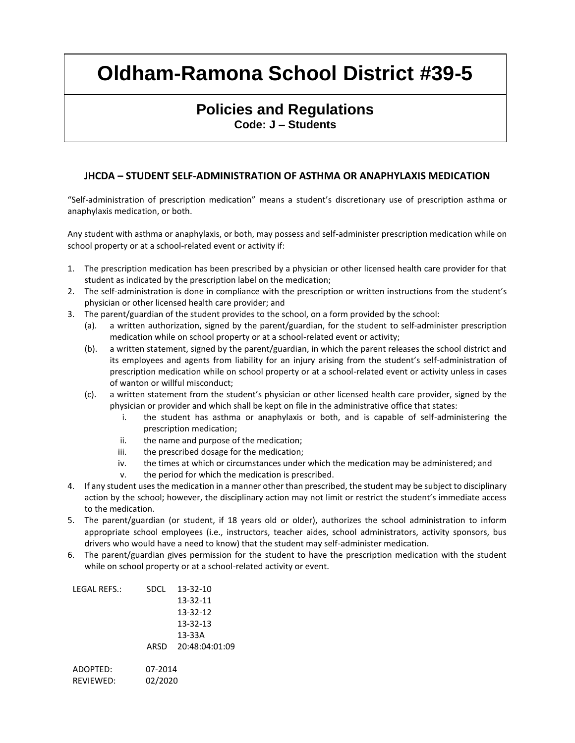### **Policies and Regulations Code: J – Students**

#### **JHCDA – STUDENT SELF-ADMINISTRATION OF ASTHMA OR ANAPHYLAXIS MEDICATION**

"Self-administration of prescription medication" means a student's discretionary use of prescription asthma or anaphylaxis medication, or both.

Any student with asthma or anaphylaxis, or both, may possess and self-administer prescription medication while on school property or at a school-related event or activity if:

- 1. The prescription medication has been prescribed by a physician or other licensed health care provider for that student as indicated by the prescription label on the medication;
- 2. The self-administration is done in compliance with the prescription or written instructions from the student's physician or other licensed health care provider; and
- 3. The parent/guardian of the student provides to the school, on a form provided by the school:
	- (a). a written authorization, signed by the parent/guardian, for the student to self-administer prescription medication while on school property or at a school-related event or activity;
	- (b). a written statement, signed by the parent/guardian, in which the parent releases the school district and its employees and agents from liability for an injury arising from the student's self-administration of prescription medication while on school property or at a school-related event or activity unless in cases of wanton or willful misconduct;
	- (c). a written statement from the student's physician or other licensed health care provider, signed by the physician or provider and which shall be kept on file in the administrative office that states:
		- i. the student has asthma or anaphylaxis or both, and is capable of self-administering the prescription medication;
		- ii. the name and purpose of the medication;
		- iii. the prescribed dosage for the medication;
		- iv. the times at which or circumstances under which the medication may be administered; and
		- v. the period for which the medication is prescribed.
- 4. If any student uses the medication in a manner other than prescribed, the student may be subject to disciplinary action by the school; however, the disciplinary action may not limit or restrict the student's immediate access to the medication.
- 5. The parent/guardian (or student, if 18 years old or older), authorizes the school administration to inform appropriate school employees (i.e., instructors, teacher aides, school administrators, activity sponsors, bus drivers who would have a need to know) that the student may self-administer medication.
- 6. The parent/guardian gives permission for the student to have the prescription medication with the student while on school property or at a school-related activity or event.

| LEGAL REFS.: | SDCL    | 13-32-10       |
|--------------|---------|----------------|
|              |         | 13-32-11       |
|              |         | 13-32-12       |
|              |         | 13-32-13       |
|              |         | 13-33A         |
|              | ARSD    | 20:48:04:01:09 |
| ADOPTED:     | 07-2014 |                |
| REVIEWED:    | 02/2020 |                |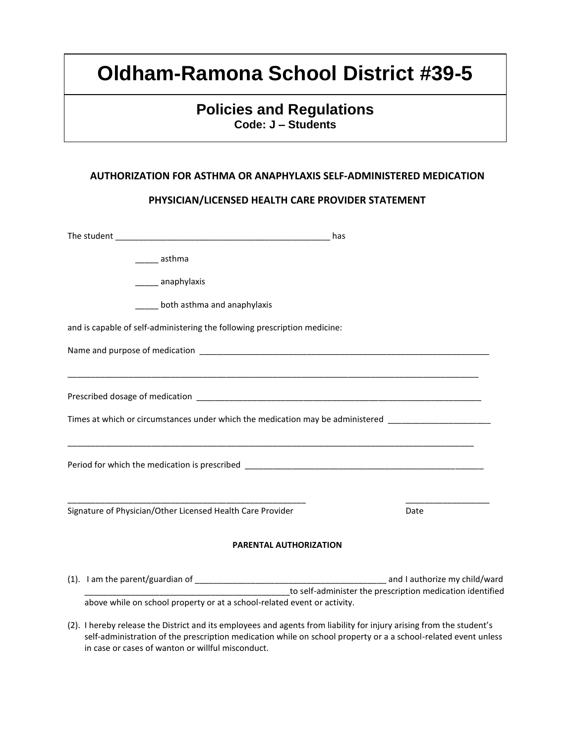## **Policies and Regulations Code: J – Students**

#### **AUTHORIZATION FOR ASTHMA OR ANAPHYLAXIS SELF-ADMINISTERED MEDICATION**

#### **PHYSICIAN/LICENSED HEALTH CARE PROVIDER STATEMENT**

|                                                                                                      | has                                                       |
|------------------------------------------------------------------------------------------------------|-----------------------------------------------------------|
| ______ asthma                                                                                        |                                                           |
| _______ anaphylaxis                                                                                  |                                                           |
| both asthma and anaphylaxis                                                                          |                                                           |
| and is capable of self-administering the following prescription medicine:                            |                                                           |
|                                                                                                      |                                                           |
|                                                                                                      |                                                           |
|                                                                                                      |                                                           |
| Times at which or circumstances under which the medication may be administered _____________________ |                                                           |
|                                                                                                      |                                                           |
|                                                                                                      |                                                           |
| Signature of Physician/Other Licensed Health Care Provider                                           | Date                                                      |
| <b>PARENTAL AUTHORIZATION</b>                                                                        |                                                           |
|                                                                                                      |                                                           |
| above while on school property or at a school-related event or activity.                             | to self-administer the prescription medication identified |

(2). I hereby release the District and its employees and agents from liability for injury arising from the student's self-administration of the prescription medication while on school property or a a school-related event unless in case or cases of wanton or willful misconduct.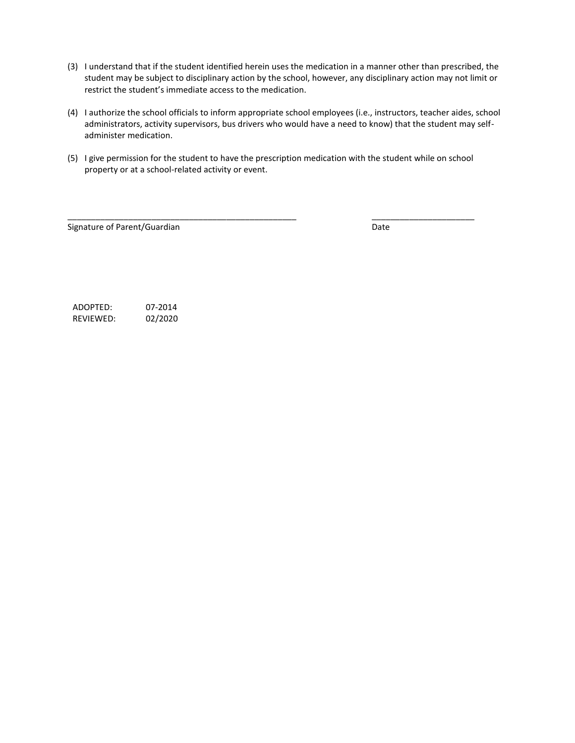- (3) I understand that if the student identified herein uses the medication in a manner other than prescribed, the student may be subject to disciplinary action by the school, however, any disciplinary action may not limit or restrict the student's immediate access to the medication.
- (4) I authorize the school officials to inform appropriate school employees (i.e., instructors, teacher aides, school administrators, activity supervisors, bus drivers who would have a need to know) that the student may selfadminister medication.
- (5) I give permission for the student to have the prescription medication with the student while on school property or at a school-related activity or event.

\_\_\_\_\_\_\_\_\_\_\_\_\_\_\_\_\_\_\_\_\_\_\_\_\_\_\_\_\_\_\_\_\_\_\_\_\_\_\_\_\_\_\_\_\_\_\_\_\_ \_\_\_\_\_\_\_\_\_\_\_\_\_\_\_\_\_\_\_\_\_\_

Signature of Parent/Guardian Date by Cambridge and Date Date Date

ADOPTED: 07-2014 REVIEWED: 02/2020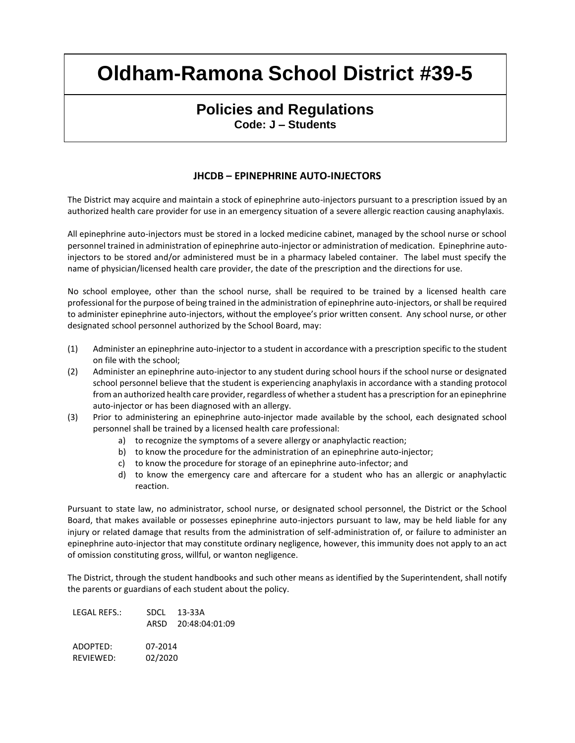### **Policies and Regulations Code: J – Students**

### **JHCDB – EPINEPHRINE AUTO-INJECTORS**

The District may acquire and maintain a stock of epinephrine auto-injectors pursuant to a prescription issued by an authorized health care provider for use in an emergency situation of a severe allergic reaction causing anaphylaxis.

All epinephrine auto-injectors must be stored in a locked medicine cabinet, managed by the school nurse or school personnel trained in administration of epinephrine auto-injector or administration of medication. Epinephrine autoinjectors to be stored and/or administered must be in a pharmacy labeled container. The label must specify the name of physician/licensed health care provider, the date of the prescription and the directions for use.

No school employee, other than the school nurse, shall be required to be trained by a licensed health care professional for the purpose of being trained in the administration of epinephrine auto-injectors, or shall be required to administer epinephrine auto-injectors, without the employee's prior written consent. Any school nurse, or other designated school personnel authorized by the School Board, may:

- (1) Administer an epinephrine auto-injector to a student in accordance with a prescription specific to the student on file with the school;
- (2) Administer an epinephrine auto-injector to any student during school hours if the school nurse or designated school personnel believe that the student is experiencing anaphylaxis in accordance with a standing protocol from an authorized health care provider, regardless of whether a student has a prescription for an epinephrine auto-injector or has been diagnosed with an allergy.
- (3) Prior to administering an epinephrine auto-injector made available by the school, each designated school personnel shall be trained by a licensed health care professional:
	- a) to recognize the symptoms of a severe allergy or anaphylactic reaction;
	- b) to know the procedure for the administration of an epinephrine auto-injector;
	- c) to know the procedure for storage of an epinephrine auto-infector; and
	- d) to know the emergency care and aftercare for a student who has an allergic or anaphylactic reaction.

Pursuant to state law, no administrator, school nurse, or designated school personnel, the District or the School Board, that makes available or possesses epinephrine auto-injectors pursuant to law, may be held liable for any injury or related damage that results from the administration of self-administration of, or failure to administer an epinephrine auto-injector that may constitute ordinary negligence, however, this immunity does not apply to an act of omission constituting gross, willful, or wanton negligence.

The District, through the student handbooks and such other means as identified by the Superintendent, shall notify the parents or guardians of each student about the policy.

| LEGAL REFS.: | SDCL.   | 13-33A              |
|--------------|---------|---------------------|
|              |         | ARSD 20:48:04:01:09 |
| ADOPTED:     | 07-2014 |                     |
| REVIEWED:    | 02/2020 |                     |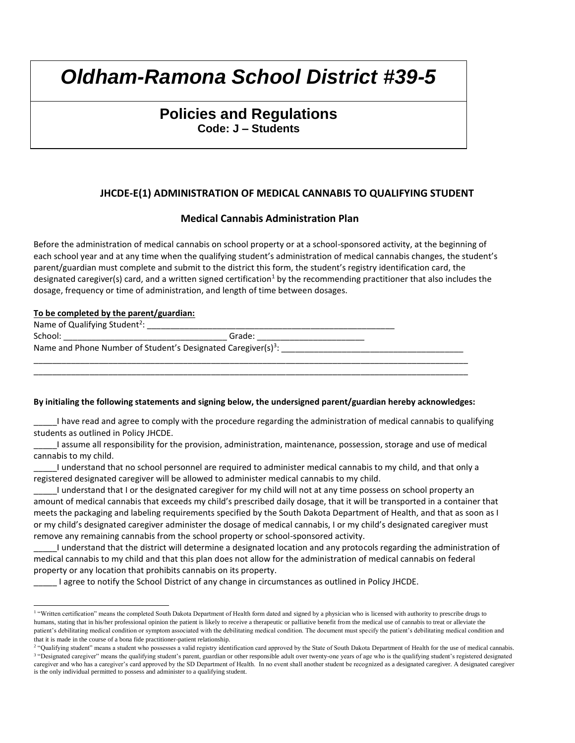## **Policies and Regulations Code: J – Students**

### **JHCDE-E(1) ADMINISTRATION OF MEDICAL CANNABIS TO QUALIFYING STUDENT**

#### **Medical Cannabis Administration Plan**

Before the administration of medical cannabis on school property or at a school-sponsored activity, at the beginning of each school year and at any time when the qualifying student's administration of medical cannabis changes, the student's parent/guardian must complete and submit to the district this form, the student's registry identification card, the designated caregiver(s) card, and a written signed certification<sup>1</sup> by the recommending practitioner that also includes the dosage, frequency or time of administration, and length of time between dosages.

#### **To be completed by the parent/guardian:**

| Name of Qualifying Student <sup>2</sup> : |                                                                           |  |
|-------------------------------------------|---------------------------------------------------------------------------|--|
| School:                                   | Grade:                                                                    |  |
|                                           | Name and Phone Number of Student's Designated Caregiver(s) <sup>3</sup> : |  |
|                                           |                                                                           |  |

#### **By initialing the following statements and signing below, the undersigned parent/guardian hereby acknowledges:**

\_\_\_\_\_I have read and agree to comply with the procedure regarding the administration of medical cannabis to qualifying students as outlined in Policy JHCDE.

\_\_\_\_\_I assume all responsibility for the provision, administration, maintenance, possession, storage and use of medical cannabis to my child.

\_\_\_\_\_I understand that no school personnel are required to administer medical cannabis to my child, and that only a registered designated caregiver will be allowed to administer medical cannabis to my child.

I understand that I or the designated caregiver for my child will not at any time possess on school property an amount of medical cannabis that exceeds my child's prescribed daily dosage, that it will be transported in a container that meets the packaging and labeling requirements specified by the South Dakota Department of Health, and that as soon as I or my child's designated caregiver administer the dosage of medical cannabis, I or my child's designated caregiver must remove any remaining cannabis from the school property or school-sponsored activity.

\_\_\_\_\_I understand that the district will determine a designated location and any protocols regarding the administration of medical cannabis to my child and that this plan does not allow for the administration of medical cannabis on federal property or any location that prohibits cannabis on its property.

\_\_\_\_\_ I agree to notify the School District of any change in circumstances as outlined in Policy JHCDE.

<sup>&</sup>lt;sup>1</sup> "Written certification" means the completed South Dakota Department of Health form dated and signed by a physician who is licensed with authority to prescribe drugs to humans, stating that in his/her professional opinion the patient is likely to receive a therapeutic or palliative benefit from the medical use of cannabis to treat or alleviate the patient's debilitating medical condition or symptom associated with the debilitating medical condition. The document must specify the patient's debilitating medical condition and that it is made in the course of a bona fide practitioner-patient relationship.

<sup>&</sup>lt;sup>2</sup> "Qualifying student" means a student who possesses a valid registry identification card approved by the State of South Dakota Department of Health for the use of medical cannabis. <sup>3</sup> "Designated caregiver" means the qualifying student's parent, guardian or other responsible adult over twenty-one years of age who is the qualifying student's registered designated caregiver and who has a caregiver's card approved by the SD Department of Health. In no event shall another student be recognized as a designated caregiver. A designated caregiver is the only individual permitted to possess and administer to a qualifying student.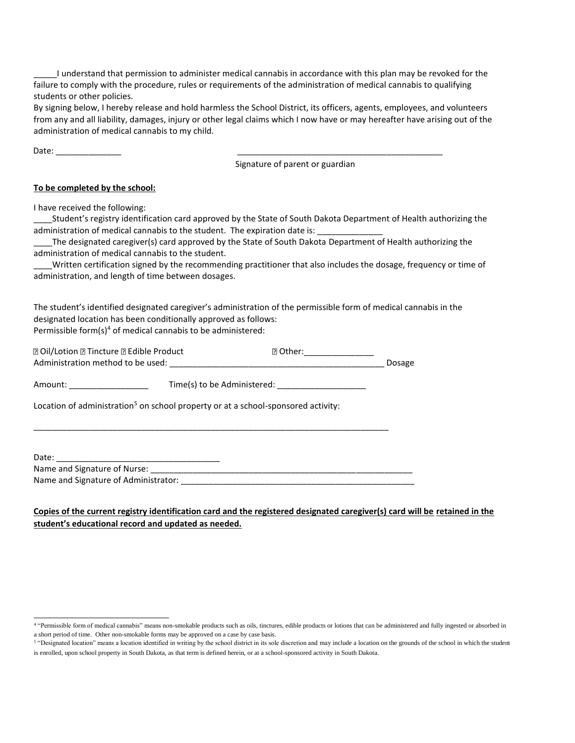\_\_\_\_\_I understand that permission to administer medical cannabis in accordance with this plan may be revoked for the failure to comply with the procedure, rules or requirements of the administration of medical cannabis to qualifying students or other policies.

By signing below, I hereby release and hold harmless the School District, its officers, agents, employees, and volunteers from any and all liability, damages, injury or other legal claims which I now have or may hereafter have arising out of the administration of medical cannabis to my child.

Date: \_\_\_\_\_\_\_\_\_\_\_\_\_\_ \_\_\_\_\_\_\_\_\_\_\_\_\_\_\_\_\_\_\_\_\_\_\_\_\_\_\_\_\_\_\_\_\_\_\_\_\_\_\_\_\_\_\_\_

Signature of parent or guardian

#### **To be completed by the school:**

I have received the following:

\_\_\_\_Student's registry identification card approved by the State of South Dakota Department of Health authorizing the administration of medical cannabis to the student. The expiration date is:

The designated caregiver(s) card approved by the State of South Dakota Department of Health authorizing the administration of medical cannabis to the student.

Written certification signed by the recommending practitioner that also includes the dosage, frequency or time of administration, and length of time between dosages.

The student's identified designated caregiver's administration of the permissible form of medical cannabis in the designated location has been conditionally approved as follows: Permissible form $(s)^4$  of medical cannabis to be administered:

| ए Oil/Lotion ⊠ Tincture ए Edible Product |                             | <b>R</b> Other: |        |
|------------------------------------------|-----------------------------|-----------------|--------|
| Administration method to be used:        |                             |                 | Dosage |
| Amount:                                  | Time(s) to be Administered: |                 |        |

Location of administration<sup>5</sup> on school property or at a school-sponsored activity:

Date: Name and Signature of Nurse: Name and Signature of Administrator: \_\_\_\_\_\_\_\_\_\_\_\_\_\_\_\_\_\_\_\_\_\_\_\_\_\_\_\_\_\_\_\_\_\_\_\_\_\_\_\_\_\_\_\_\_\_\_\_\_\_

\_\_\_\_\_\_\_\_\_\_\_\_\_\_\_\_\_\_\_\_\_\_\_\_\_\_\_\_\_\_\_\_\_\_\_\_\_\_\_\_\_\_\_\_\_\_\_\_\_\_\_\_\_\_\_\_\_\_\_\_\_\_\_\_\_\_\_\_\_\_\_\_\_\_\_\_

#### **Copies of the current registry identification card and the registered designated caregiver(s) card will be retained in the student's educational record and updated as needed.**

 4 "Permissible form of medical cannabis" means non-smokable products such as oils, tinctures, edible products or lotions that can be administered and fully ingested or absorbed in a short period of time. Other non-smokable forms may be approved on a case by case basis.

<sup>&</sup>lt;sup>5</sup> "Designated location" means a location identified in writing by the school district in its sole discretion and may include a location on the grounds of the school in which the student is enrolled, upon school property in South Dakota, as that term is defined herein, or at a school-sponsored activity in South Dakota.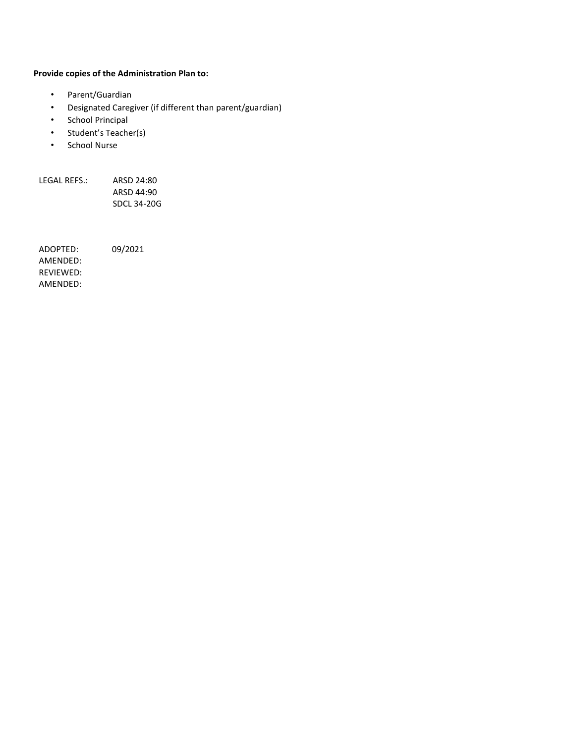#### **Provide copies of the Administration Plan to:**

- Parent/Guardian
- Designated Caregiver (if different than parent/guardian)
- School Principal
- Student's Teacher(s)
- School Nurse

LEGAL REFS.: ARSD 24:80 ARSD 44:90 SDCL 34-20G

ADOPTED: 09/2021 AMENDED: REVIEWED: AMENDED: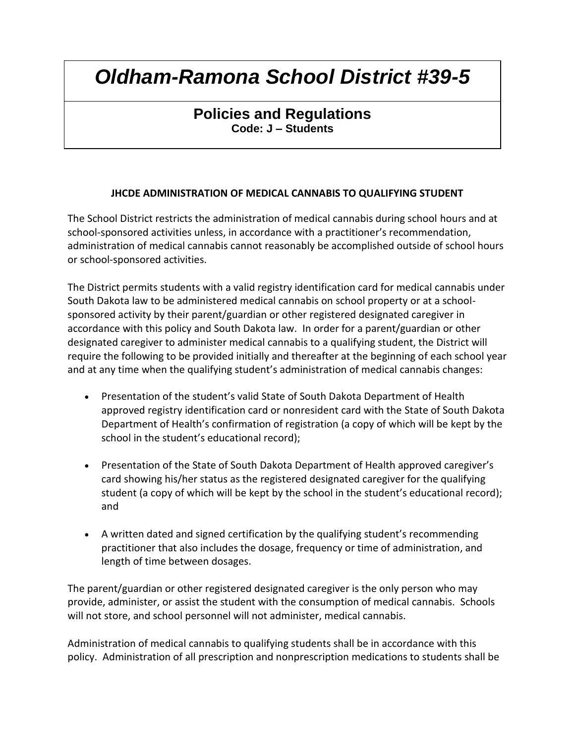## **Policies and Regulations Code: J – Students**

### **JHCDE ADMINISTRATION OF MEDICAL CANNABIS TO QUALIFYING STUDENT**

The School District restricts the administration of medical cannabis during school hours and at school-sponsored activities unless, in accordance with a practitioner's recommendation, administration of medical cannabis cannot reasonably be accomplished outside of school hours or school-sponsored activities.

The District permits students with a valid registry identification card for medical cannabis under South Dakota law to be administered medical cannabis on school property or at a schoolsponsored activity by their parent/guardian or other registered designated caregiver in accordance with this policy and South Dakota law. In order for a parent/guardian or other designated caregiver to administer medical cannabis to a qualifying student, the District will require the following to be provided initially and thereafter at the beginning of each school year and at any time when the qualifying student's administration of medical cannabis changes:

- Presentation of the student's valid State of South Dakota Department of Health approved registry identification card or nonresident card with the State of South Dakota Department of Health's confirmation of registration (a copy of which will be kept by the school in the student's educational record);
- Presentation of the State of South Dakota Department of Health approved caregiver's card showing his/her status as the registered designated caregiver for the qualifying student (a copy of which will be kept by the school in the student's educational record); and
- A written dated and signed certification by the qualifying student's recommending practitioner that also includes the dosage, frequency or time of administration, and length of time between dosages.

The parent/guardian or other registered designated caregiver is the only person who may provide, administer, or assist the student with the consumption of medical cannabis. Schools will not store, and school personnel will not administer, medical cannabis.

Administration of medical cannabis to qualifying students shall be in accordance with this policy. Administration of all prescription and nonprescription medications to students shall be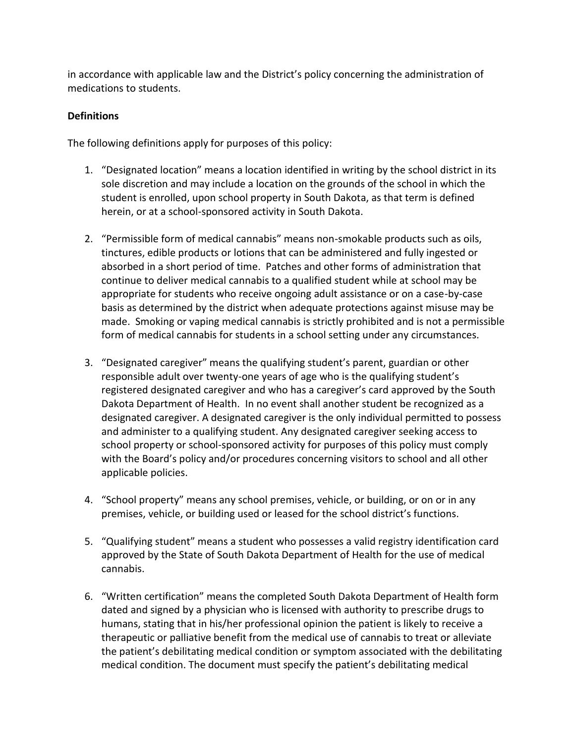in accordance with applicable law and the District's policy concerning the administration of medications to students.

### **Definitions**

The following definitions apply for purposes of this policy:

- 1. "Designated location" means a location identified in writing by the school district in its sole discretion and may include a location on the grounds of the school in which the student is enrolled, upon school property in South Dakota, as that term is defined herein, or at a school-sponsored activity in South Dakota.
- 2. "Permissible form of medical cannabis" means non-smokable products such as oils, tinctures, edible products or lotions that can be administered and fully ingested or absorbed in a short period of time. Patches and other forms of administration that continue to deliver medical cannabis to a qualified student while at school may be appropriate for students who receive ongoing adult assistance or on a case-by-case basis as determined by the district when adequate protections against misuse may be made. Smoking or vaping medical cannabis is strictly prohibited and is not a permissible form of medical cannabis for students in a school setting under any circumstances.
- 3. "Designated caregiver" means the qualifying student's parent, guardian or other responsible adult over twenty-one years of age who is the qualifying student's registered designated caregiver and who has a caregiver's card approved by the South Dakota Department of Health. In no event shall another student be recognized as a designated caregiver. A designated caregiver is the only individual permitted to possess and administer to a qualifying student. Any designated caregiver seeking access to school property or school-sponsored activity for purposes of this policy must comply with the Board's policy and/or procedures concerning visitors to school and all other applicable policies.
- 4. "School property" means any school premises, vehicle, or building, or on or in any premises, vehicle, or building used or leased for the school district's functions.
- 5. "Qualifying student" means a student who possesses a valid registry identification card approved by the State of South Dakota Department of Health for the use of medical cannabis.
- 6. "Written certification" means the completed South Dakota Department of Health form dated and signed by a physician who is licensed with authority to prescribe drugs to humans, stating that in his/her professional opinion the patient is likely to receive a therapeutic or palliative benefit from the medical use of cannabis to treat or alleviate the patient's debilitating medical condition or symptom associated with the debilitating medical condition. The document must specify the patient's debilitating medical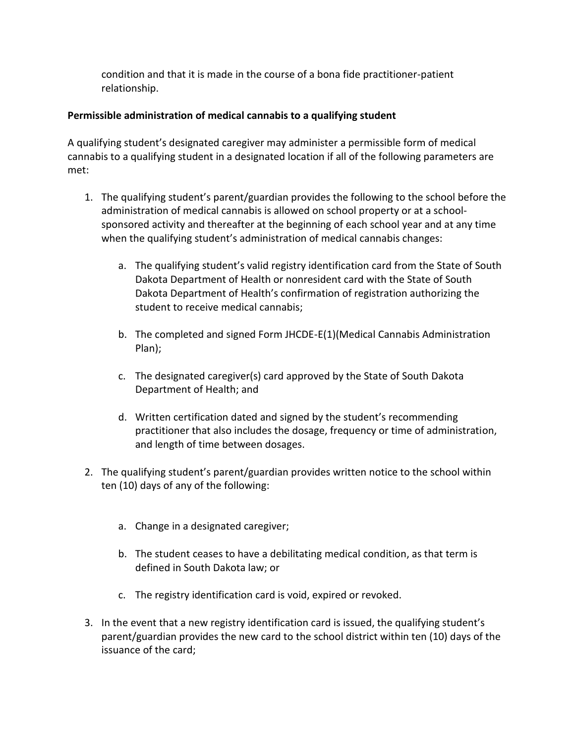condition and that it is made in the course of a bona fide practitioner-patient relationship.

### **Permissible administration of medical cannabis to a qualifying student**

A qualifying student's designated caregiver may administer a permissible form of medical cannabis to a qualifying student in a designated location if all of the following parameters are met:

- 1. The qualifying student's parent/guardian provides the following to the school before the administration of medical cannabis is allowed on school property or at a schoolsponsored activity and thereafter at the beginning of each school year and at any time when the qualifying student's administration of medical cannabis changes:
	- a. The qualifying student's valid registry identification card from the State of South Dakota Department of Health or nonresident card with the State of South Dakota Department of Health's confirmation of registration authorizing the student to receive medical cannabis;
	- b. The completed and signed Form JHCDE-E(1)(Medical Cannabis Administration Plan);
	- c. The designated caregiver(s) card approved by the State of South Dakota Department of Health; and
	- d. Written certification dated and signed by the student's recommending practitioner that also includes the dosage, frequency or time of administration, and length of time between dosages.
- 2. The qualifying student's parent/guardian provides written notice to the school within ten (10) days of any of the following:
	- a. Change in a designated caregiver;
	- b. The student ceases to have a debilitating medical condition, as that term is defined in South Dakota law; or
	- c. The registry identification card is void, expired or revoked.
- 3. In the event that a new registry identification card is issued, the qualifying student's parent/guardian provides the new card to the school district within ten (10) days of the issuance of the card;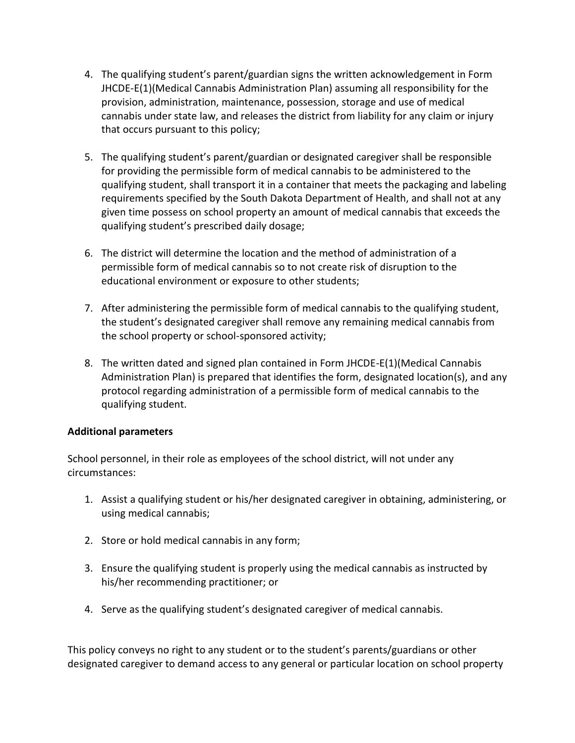- 4. The qualifying student's parent/guardian signs the written acknowledgement in Form JHCDE-E(1)(Medical Cannabis Administration Plan) assuming all responsibility for the provision, administration, maintenance, possession, storage and use of medical cannabis under state law, and releases the district from liability for any claim or injury that occurs pursuant to this policy;
- 5. The qualifying student's parent/guardian or designated caregiver shall be responsible for providing the permissible form of medical cannabis to be administered to the qualifying student, shall transport it in a container that meets the packaging and labeling requirements specified by the South Dakota Department of Health, and shall not at any given time possess on school property an amount of medical cannabis that exceeds the qualifying student's prescribed daily dosage;
- 6. The district will determine the location and the method of administration of a permissible form of medical cannabis so to not create risk of disruption to the educational environment or exposure to other students;
- 7. After administering the permissible form of medical cannabis to the qualifying student, the student's designated caregiver shall remove any remaining medical cannabis from the school property or school-sponsored activity;
- 8. The written dated and signed plan contained in Form JHCDE-E(1)(Medical Cannabis Administration Plan) is prepared that identifies the form, designated location(s), and any protocol regarding administration of a permissible form of medical cannabis to the qualifying student.

### **Additional parameters**

School personnel, in their role as employees of the school district, will not under any circumstances:

- 1. Assist a qualifying student or his/her designated caregiver in obtaining, administering, or using medical cannabis;
- 2. Store or hold medical cannabis in any form;
- 3. Ensure the qualifying student is properly using the medical cannabis as instructed by his/her recommending practitioner; or
- 4. Serve as the qualifying student's designated caregiver of medical cannabis.

This policy conveys no right to any student or to the student's parents/guardians or other designated caregiver to demand access to any general or particular location on school property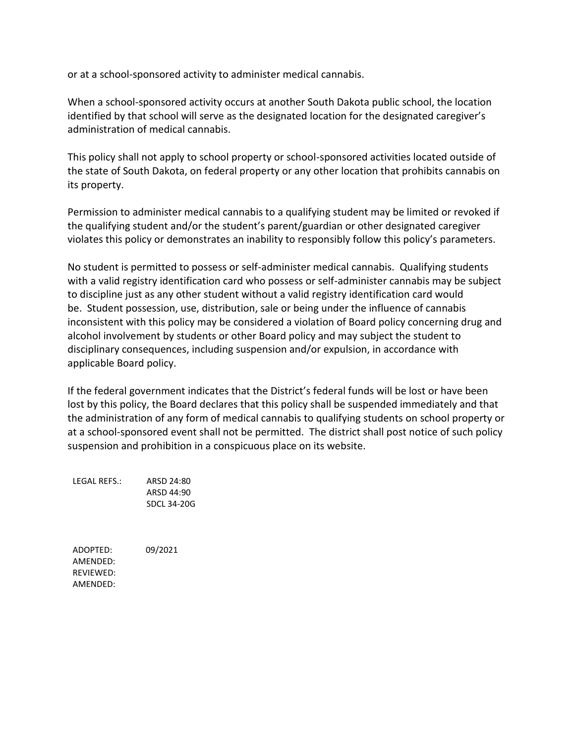or at a school-sponsored activity to administer medical cannabis.

When a school-sponsored activity occurs at another South Dakota public school, the location identified by that school will serve as the designated location for the designated caregiver's administration of medical cannabis.

This policy shall not apply to school property or school-sponsored activities located outside of the state of South Dakota, on federal property or any other location that prohibits cannabis on its property.

Permission to administer medical cannabis to a qualifying student may be limited or revoked if the qualifying student and/or the student's parent/guardian or other designated caregiver violates this policy or demonstrates an inability to responsibly follow this policy's parameters.

No student is permitted to possess or self-administer medical cannabis. Qualifying students with a valid registry identification card who possess or self-administer cannabis may be subject to discipline just as any other student without a valid registry identification card would be. Student possession, use, distribution, sale or being under the influence of cannabis inconsistent with this policy may be considered a violation of Board policy concerning drug and alcohol involvement by students or other Board policy and may subject the student to disciplinary consequences, including suspension and/or expulsion, in accordance with applicable Board policy.

If the federal government indicates that the District's federal funds will be lost or have been lost by this policy, the Board declares that this policy shall be suspended immediately and that the administration of any form of medical cannabis to qualifying students on school property or at a school-sponsored event shall not be permitted. The district shall post notice of such policy suspension and prohibition in a conspicuous place on its website.

LEGAL REFS.: ARSD 24:80 ARSD 44:90 SDCL 34-20G

ADOPTED: 09/2021 AMENDED: REVIEWED: AMENDED: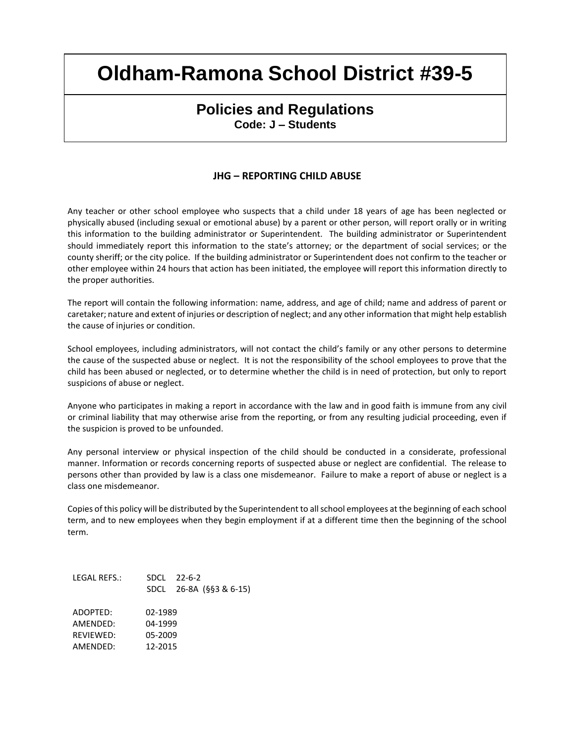### **Policies and Regulations Code: J – Students**

#### **JHG – REPORTING CHILD ABUSE**

Any teacher or other school employee who suspects that a child under 18 years of age has been neglected or physically abused (including sexual or emotional abuse) by a parent or other person, will report orally or in writing this information to the building administrator or Superintendent. The building administrator or Superintendent should immediately report this information to the state's attorney; or the department of social services; or the county sheriff; or the city police. If the building administrator or Superintendent does not confirm to the teacher or other employee within 24 hours that action has been initiated, the employee will report this information directly to the proper authorities.

The report will contain the following information: name, address, and age of child; name and address of parent or caretaker; nature and extent of injuries or description of neglect; and any other information that might help establish the cause of injuries or condition.

School employees, including administrators, will not contact the child's family or any other persons to determine the cause of the suspected abuse or neglect. It is not the responsibility of the school employees to prove that the child has been abused or neglected, or to determine whether the child is in need of protection, but only to report suspicions of abuse or neglect.

Anyone who participates in making a report in accordance with the law and in good faith is immune from any civil or criminal liability that may otherwise arise from the reporting, or from any resulting judicial proceeding, even if the suspicion is proved to be unfounded.

Any personal interview or physical inspection of the child should be conducted in a considerate, professional manner. Information or records concerning reports of suspected abuse or neglect are confidential. The release to persons other than provided by law is a class one misdemeanor. Failure to make a report of abuse or neglect is a class one misdemeanor.

Copies of this policy will be distributed by the Superintendent to all school employees at the beginning of each school term, and to new employees when they begin employment if at a different time then the beginning of the school term.

| LEGAL REFS.: |         | $SDCI$ 22-6-2<br>SDCL 26-8A (§§3 & 6-15) |
|--------------|---------|------------------------------------------|
| ADOPTED:     | 02-1989 |                                          |
| AMFNDFD:     | 04-1999 |                                          |
| RFVIFWFD:    | 05-2009 |                                          |
| AMFNDFD:     | 12-2015 |                                          |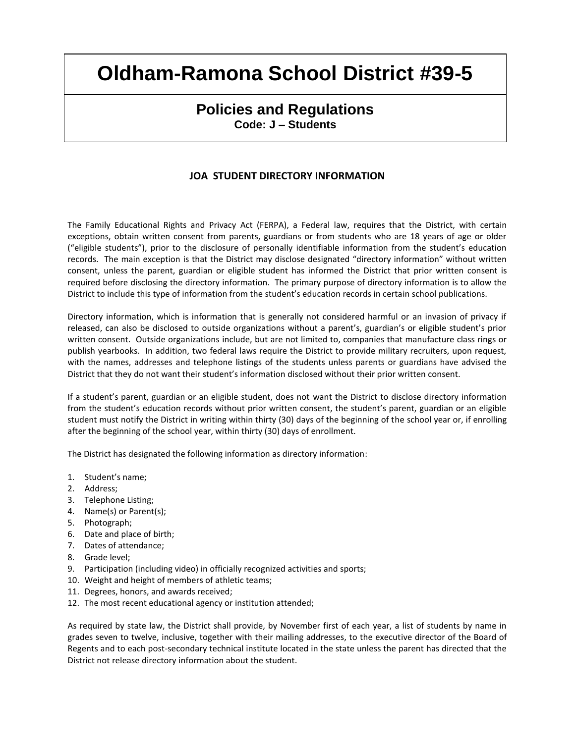## **Policies and Regulations Code: J – Students**

### **JOA STUDENT DIRECTORY INFORMATION**

The Family Educational Rights and Privacy Act (FERPA), a Federal law, requires that the District, with certain exceptions, obtain written consent from parents, guardians or from students who are 18 years of age or older ("eligible students"), prior to the disclosure of personally identifiable information from the student's education records. The main exception is that the District may disclose designated "directory information" without written consent, unless the parent, guardian or eligible student has informed the District that prior written consent is required before disclosing the directory information. The primary purpose of directory information is to allow the District to include this type of information from the student's education records in certain school publications.

Directory information, which is information that is generally not considered harmful or an invasion of privacy if released, can also be disclosed to outside organizations without a parent's, guardian's or eligible student's prior written consent. Outside organizations include, but are not limited to, companies that manufacture class rings or publish yearbooks. In addition, two federal laws require the District to provide military recruiters, upon request, with the names, addresses and telephone listings of the students unless parents or guardians have advised the District that they do not want their student's information disclosed without their prior written consent.

If a student's parent, guardian or an eligible student, does not want the District to disclose directory information from the student's education records without prior written consent, the student's parent, guardian or an eligible student must notify the District in writing within thirty (30) days of the beginning of the school year or, if enrolling after the beginning of the school year, within thirty (30) days of enrollment.

The District has designated the following information as directory information:

- 1. Student's name;
- 2. Address;
- 3. Telephone Listing;
- 4. Name(s) or Parent(s);
- 5. Photograph;
- 6. Date and place of birth;
- 7. Dates of attendance;
- 8. Grade level;
- 9. Participation (including video) in officially recognized activities and sports;
- 10. Weight and height of members of athletic teams;
- 11. Degrees, honors, and awards received;
- 12. The most recent educational agency or institution attended;

As required by state law, the District shall provide, by November first of each year, a list of students by name in grades seven to twelve, inclusive, together with their mailing addresses, to the executive director of the Board of Regents and to each post-secondary technical institute located in the state unless the parent has directed that the District not release directory information about the student.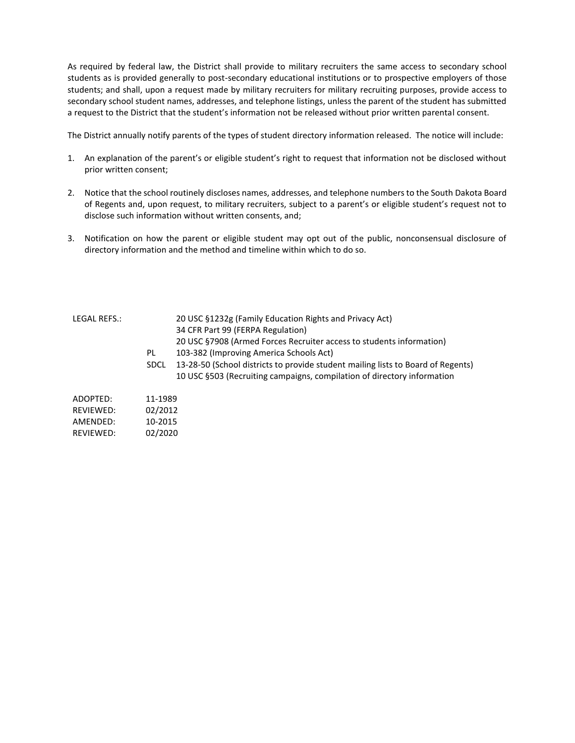As required by federal law, the District shall provide to military recruiters the same access to secondary school students as is provided generally to post-secondary educational institutions or to prospective employers of those students; and shall, upon a request made by military recruiters for military recruiting purposes, provide access to secondary school student names, addresses, and telephone listings, unless the parent of the student has submitted a request to the District that the student's information not be released without prior written parental consent.

The District annually notify parents of the types of student directory information released. The notice will include:

- 1. An explanation of the parent's or eligible student's right to request that information not be disclosed without prior written consent;
- 2. Notice that the school routinely discloses names, addresses, and telephone numbers to the South Dakota Board of Regents and, upon request, to military recruiters, subject to a parent's or eligible student's request not to disclose such information without written consents, and;
- 3. Notification on how the parent or eligible student may opt out of the public, nonconsensual disclosure of directory information and the method and timeline within which to do so.

| LEGAL REFS.:          | PL<br><b>SDCL</b>  | 20 USC §1232g (Family Education Rights and Privacy Act)<br>34 CFR Part 99 (FERPA Regulation)<br>20 USC §7908 (Armed Forces Recruiter access to students information)<br>103-382 (Improving America Schools Act)<br>13-28-50 (School districts to provide student mailing lists to Board of Regents)<br>10 USC §503 (Recruiting campaigns, compilation of directory information |
|-----------------------|--------------------|--------------------------------------------------------------------------------------------------------------------------------------------------------------------------------------------------------------------------------------------------------------------------------------------------------------------------------------------------------------------------------|
| ADOPTED:<br>REVIEWED: | 11-1989<br>02/2012 |                                                                                                                                                                                                                                                                                                                                                                                |

| AMENDED:  | 10-2015 |
|-----------|---------|
| REVIEWED: | 02/2020 |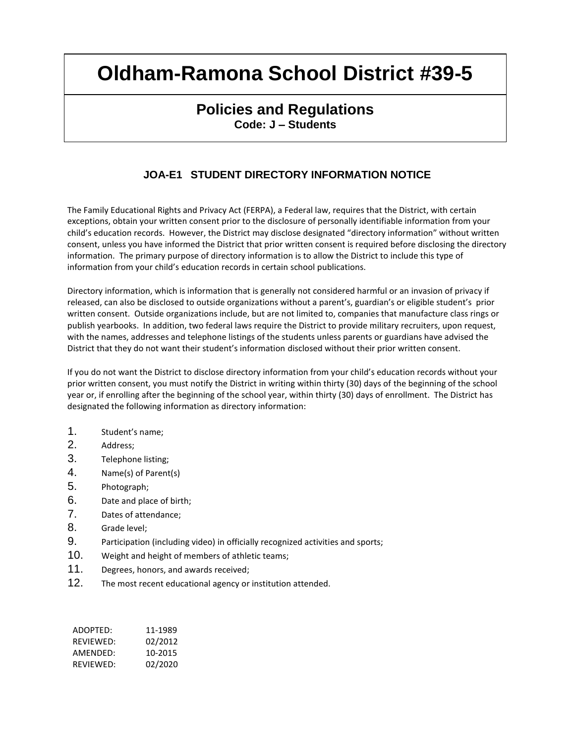## **Policies and Regulations Code: J – Students**

## **JOA-E1 STUDENT DIRECTORY INFORMATION NOTICE**

The Family Educational Rights and Privacy Act (FERPA), a Federal law, requires that the District, with certain exceptions, obtain your written consent prior to the disclosure of personally identifiable information from your child's education records. However, the District may disclose designated "directory information" without written consent, unless you have informed the District that prior written consent is required before disclosing the directory information. The primary purpose of directory information is to allow the District to include this type of information from your child's education records in certain school publications.

Directory information, which is information that is generally not considered harmful or an invasion of privacy if released, can also be disclosed to outside organizations without a parent's, guardian's or eligible student's prior written consent. Outside organizations include, but are not limited to, companies that manufacture class rings or publish yearbooks. In addition, two federal laws require the District to provide military recruiters, upon request, with the names, addresses and telephone listings of the students unless parents or guardians have advised the District that they do not want their student's information disclosed without their prior written consent.

If you do not want the District to disclose directory information from your child's education records without your prior written consent, you must notify the District in writing within thirty (30) days of the beginning of the school year or, if enrolling after the beginning of the school year, within thirty (30) days of enrollment. The District has designated the following information as directory information:

- 1. Student's name;
- 2. Address;
- 3. Telephone listing;
- 4. Name(s) of Parent(s)
- 5. Photograph;
- 6. Date and place of birth;
- 7. Dates of attendance;
- 8. Grade level;
- 9. Participation (including video) in officially recognized activities and sports;
- 10. Weight and height of members of athletic teams;
- 11. Degrees, honors, and awards received;
- 12. The most recent educational agency or institution attended.

| ADOPTED:  | 11-1989 |
|-----------|---------|
| RFVIFWFD: | 02/2012 |
| AMFNDFD:  | 10-2015 |
| RFVIFWFD: | 02/2020 |